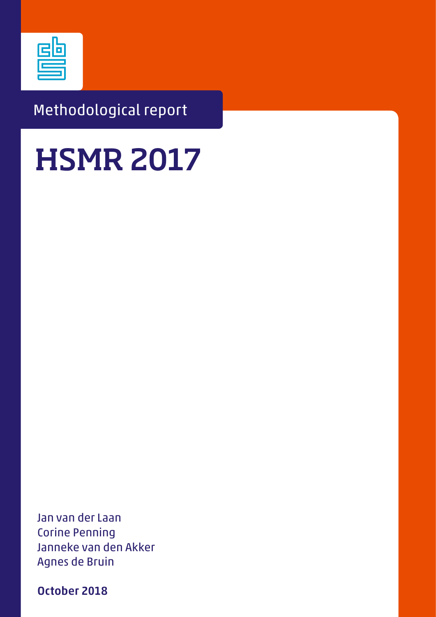

# Methodological report

# **HSMR 2017**

Jan van der Laan Corine Penning Janneke van den Akker Agnes de Bruin

October 2018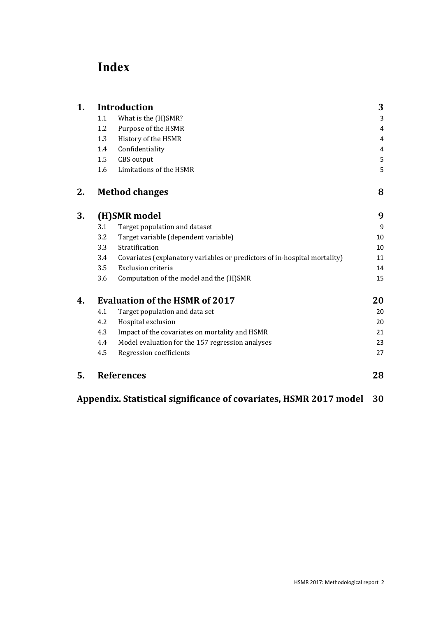# **Index**

| 1. |     | <b>Introduction</b>                                                       | 3  |
|----|-----|---------------------------------------------------------------------------|----|
|    | 1.1 | What is the (H)SMR?                                                       | 3  |
|    | 1.2 | Purpose of the HSMR                                                       | 4  |
|    | 1.3 | History of the HSMR                                                       | 4  |
|    | 1.4 | Confidentiality                                                           | 4  |
|    | 1.5 | CBS output                                                                | 5  |
|    | 1.6 | Limitations of the HSMR                                                   | 5  |
| 2. |     | <b>Method changes</b>                                                     | 8  |
| 3. |     | (H)SMR model                                                              | 9  |
|    | 3.1 | Target population and dataset                                             | 9  |
|    | 3.2 | Target variable (dependent variable)                                      | 10 |
|    | 3.3 | Stratification                                                            | 10 |
|    | 3.4 | Covariates (explanatory variables or predictors of in-hospital mortality) | 11 |
|    | 3.5 | Exclusion criteria                                                        | 14 |
|    | 3.6 | Computation of the model and the (H)SMR                                   | 15 |
| 4. |     | <b>Evaluation of the HSMR of 2017</b>                                     | 20 |
|    | 4.1 | Target population and data set                                            | 20 |
|    | 4.2 | Hospital exclusion                                                        | 20 |
|    | 4.3 | Impact of the covariates on mortality and HSMR                            | 21 |
|    | 4.4 | Model evaluation for the 157 regression analyses                          | 23 |
|    | 4.5 | Regression coefficients                                                   | 27 |
| 5. |     | <b>References</b>                                                         | 28 |

**Appendix. Statistical significance of covariates, HSMR 2017 model 30**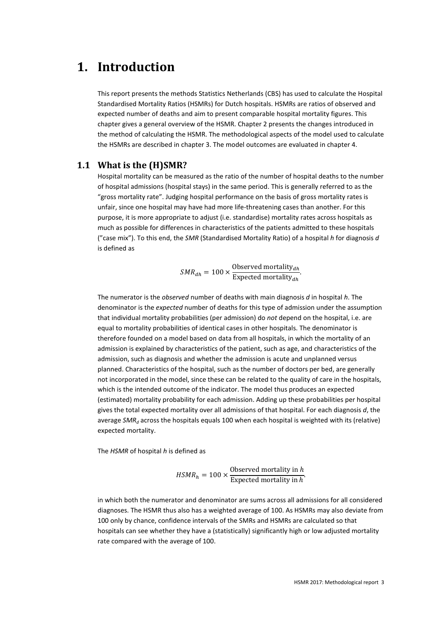# **1. Introduction**

This report presents the methods Statistics Netherlands (CBS) has used to calculate the Hospital Standardised Mortality Ratios (HSMRs) for Dutch hospitals. HSMRs are ratios of observed and expected number of deaths and aim to present comparable hospital mortality figures. This chapter gives a general overview of the HSMR. Chapter 2 presents the changes introduced in the method of calculating the HSMR. The methodological aspects of the model used to calculate the HSMRs are described in chapter 3. The model outcomes are evaluated in chapter 4.

#### **1.1 What is the (H)SMR?**

Hospital mortality can be measured as the ratio of the number of hospital deaths to the number of hospital admissions (hospital stays) in the same period. This is generally referred to as the "gross mortality rate". Judging hospital performance on the basis of gross mortality rates is unfair, since one hospital may have had more life-threatening cases than another. For this purpose, it is more appropriate to adjust (i.e. standardise) mortality rates across hospitals as much as possible for differences in characteristics of the patients admitted to these hospitals ("case mix"). To this end, the *SMR* (Standardised Mortality Ratio) of a hospital *h* for diagnosis *d* is defined as

 $SMR_{dh} = 100 \times \frac{\text{Observed mortality}_{dh}}{\text{Expected mortality}_{dh}}$ 

The numerator is the *observed* number of deaths with main diagnosis *d* in hospital *h*. The denominator is the *expected* number of deaths for this type of admission under the assumption that individual mortality probabilities (per admission) do *not* depend on the hospital, i.e. are equal to mortality probabilities of identical cases in other hospitals. The denominator is therefore founded on a model based on data from all hospitals, in which the mortality of an admission is explained by characteristics of the patient, such as age, and characteristics of the admission, such as diagnosis and whether the admission is acute and unplanned versus planned. Characteristics of the hospital, such as the number of doctors per bed, are generally not incorporated in the model, since these can be related to the quality of care in the hospitals, which is the intended outcome of the indicator. The model thus produces an expected (estimated) mortality probability for each admission. Adding up these probabilities per hospital gives the total expected mortality over all admissions of that hospital. For each diagnosis *d*, the average *SMR*<sub>d</sub> across the hospitals equals 100 when each hospital is weighted with its (relative) expected mortality.

The *HSMR* of hospital *h* is defined as

$$
HSMR_h = 100 \times \frac{\text{Observed mortality in } h}{\text{Expected mortality in } h}.
$$

in which both the numerator and denominator are sums across all admissions for all considered diagnoses. The HSMR thus also has a weighted average of 100. As HSMRs may also deviate from 100 only by chance, confidence intervals of the SMRs and HSMRs are calculated so that hospitals can see whether they have a (statistically) significantly high or low adjusted mortality rate compared with the average of 100.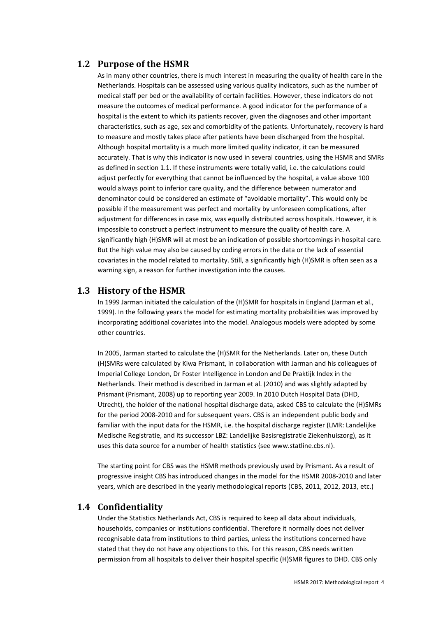### **1.2 Purpose of the HSMR**

As in many other countries, there is much interest in measuring the quality of health care in the Netherlands. Hospitals can be assessed using various quality indicators, such as the number of medical staff per bed or the availability of certain facilities. However, these indicators do not measure the outcomes of medical performance. A good indicator for the performance of a hospital is the extent to which its patients recover, given the diagnoses and other important characteristics, such as age, sex and comorbidity of the patients. Unfortunately, recovery is hard to measure and mostly takes place after patients have been discharged from the hospital. Although hospital mortality is a much more limited quality indicator, it can be measured accurately. That is why this indicator is now used in several countries, using the HSMR and SMRs as defined in section 1.1. If these instruments were totally valid, i.e. the calculations could adjust perfectly for everything that cannot be influenced by the hospital, a value above 100 would always point to inferior care quality, and the difference between numerator and denominator could be considered an estimate of "avoidable mortality". This would only be possible if the measurement was perfect and mortality by unforeseen complications, after adjustment for differences in case mix, was equally distributed across hospitals. However, it is impossible to construct a perfect instrument to measure the quality of health care. A significantly high (H)SMR will at most be an indication of possible shortcomings in hospital care. But the high value may also be caused by coding errors in the data or the lack of essential covariates in the model related to mortality. Still, a significantly high (H)SMR is often seen as a warning sign, a reason for further investigation into the causes.

### **1.3 History of the HSMR**

In 1999 Jarman initiated the calculation of the (H)SMR for hospitals in England (Jarman et al., 1999). In the following years the model for estimating mortality probabilities was improved by incorporating additional covariates into the model. Analogous models were adopted by some other countries.

In 2005, Jarman started to calculate the (H)SMR for the Netherlands. Later on, these Dutch (H)SMRs were calculated by Kiwa Prismant, in collaboration with Jarman and his colleagues of Imperial College London, Dr Foster Intelligence in London and De Praktijk Index in the Netherlands. Their method is described in Jarman et al. (2010) and was slightly adapted by Prismant (Prismant, 2008) up to reporting year 2009. In 2010 Dutch Hospital Data (DHD, Utrecht), the holder of the national hospital discharge data, asked CBS to calculate the (H)SMRs for the period 2008-2010 and for subsequent years. CBS is an independent public body and familiar with the input data for the HSMR, i.e. the hospital discharge register (LMR: Landelijke Medische Registratie, and its successor LBZ: Landelijke Basisregistratie Ziekenhuiszorg), as it uses this data source for a number of health statistics (see www.statline.cbs.nl).

The starting point for CBS was the HSMR methods previously used by Prismant. As a result of progressive insight CBS has introduced changes in the model for the HSMR 2008-2010 and later years, which are described in the yearly methodological reports (CBS, 2011, 2012, 2013, etc.)

#### **1.4 Confidentiality**

Under the Statistics Netherlands Act, CBS is required to keep all data about individuals, households, companies or institutions confidential. Therefore it normally does not deliver recognisable data from institutions to third parties, unless the institutions concerned have stated that they do not have any objections to this. For this reason, CBS needs written permission from all hospitals to deliver their hospital specific (H)SMR figures to DHD. CBS only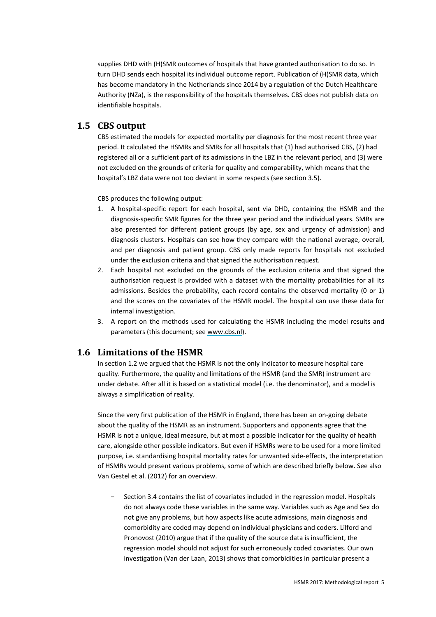supplies DHD with (H)SMR outcomes of hospitals that have granted authorisation to do so. In turn DHD sends each hospital its individual outcome report. Publication of (H)SMR data, which has become mandatory in the Netherlands since 2014 by a regulation of the Dutch Healthcare Authority (NZa), is the responsibility of the hospitals themselves. CBS does not publish data on identifiable hospitals.

### **1.5 CBS output**

CBS estimated the models for expected mortality per diagnosis for the most recent three year period. It calculated the HSMRs and SMRs for all hospitals that (1) had authorised CBS, (2) had registered all or a sufficient part of its admissions in the LBZ in the relevant period, and (3) were not excluded on the grounds of criteria for quality and comparability, which means that the hospital's LBZ data were not too deviant in some respects (see section 3.5).

CBS produces the following output:

- 1. A hospital-specific report for each hospital, sent via DHD, containing the HSMR and the diagnosis-specific SMR figures for the three year period and the individual years. SMRs are also presented for different patient groups (by age, sex and urgency of admission) and diagnosis clusters. Hospitals can see how they compare with the national average, overall, and per diagnosis and patient group. CBS only made reports for hospitals not excluded under the exclusion criteria and that signed the authorisation request.
- 2. Each hospital not excluded on the grounds of the exclusion criteria and that signed the authorisation request is provided with a dataset with the mortality probabilities for all its admissions. Besides the probability, each record contains the observed mortality (0 or 1) and the scores on the covariates of the HSMR model. The hospital can use these data for internal investigation.
- 3. A report on the methods used for calculating the HSMR including the model results and parameters (this document; see www.cbs.nl).

# **1.6 Limitations of the HSMR**

In section 1.2 we argued that the HSMR is not the only indicator to measure hospital care quality. Furthermore, the quality and limitations of the HSMR (and the SMR) instrument are under debate. After all it is based on a statistical model (i.e. the denominator), and a model is always a simplification of reality.

Since the very first publication of the HSMR in England, there has been an on-going debate about the quality of the HSMR as an instrument. Supporters and opponents agree that the HSMR is not a unique, ideal measure, but at most a possible indicator for the quality of health care, alongside other possible indicators. But even if HSMRs were to be used for a more limited purpose, i.e. standardising hospital mortality rates for unwanted side-effects, the interpretation of HSMRs would present various problems, some of which are described briefly below. See also Van Gestel et al. (2012) for an overview.

Section 3.4 contains the list of covariates included in the regression model. Hospitals do not always code these variables in the same way. Variables such as Age and Sex do not give any problems, but how aspects like acute admissions, main diagnosis and comorbidity are coded may depend on individual physicians and coders. Lilford and Pronovost (2010) argue that if the quality of the source data is insufficient, the regression model should not adjust for such erroneously coded covariates. Our own investigation (Van der Laan, 2013) shows that comorbidities in particular present a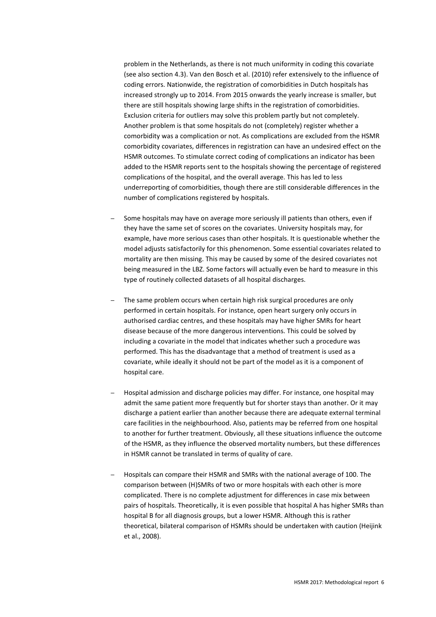problem in the Netherlands, as there is not much uniformity in coding this covariate (see also section 4.3). Van den Bosch et al. (2010) refer extensively to the influence of coding errors. Nationwide, the registration of comorbidities in Dutch hospitals has increased strongly up to 2014. From 2015 onwards the yearly increase is smaller, but there are still hospitals showing large shifts in the registration of comorbidities. Exclusion criteria for outliers may solve this problem partly but not completely. Another problem is that some hospitals do not (completely) register whether a comorbidity was a complication or not. As complications are excluded from the HSMR comorbidity covariates, differences in registration can have an undesired effect on the HSMR outcomes. To stimulate correct coding of complications an indicator has been added to the HSMR reports sent to the hospitals showing the percentage of registered complications of the hospital, and the overall average. This has led to less underreporting of comorbidities, though there are still considerable differences in the number of complications registered by hospitals.

- Some hospitals may have on average more seriously ill patients than others, even if they have the same set of scores on the covariates. University hospitals may, for example, have more serious cases than other hospitals. It is questionable whether the model adjusts satisfactorily for this phenomenon. Some essential covariates related to mortality are then missing. This may be caused by some of the desired covariates not being measured in the LBZ. Some factors will actually even be hard to measure in this type of routinely collected datasets of all hospital discharges.
- The same problem occurs when certain high risk surgical procedures are only performed in certain hospitals. For instance, open heart surgery only occurs in authorised cardiac centres, and these hospitals may have higher SMRs for heart disease because of the more dangerous interventions. This could be solved by including a covariate in the model that indicates whether such a procedure was performed. This has the disadvantage that a method of treatment is used as a covariate, while ideally it should not be part of the model as it is a component of hospital care.
- Hospital admission and discharge policies may differ. For instance, one hospital may admit the same patient more frequently but for shorter stays than another. Or it may discharge a patient earlier than another because there are adequate external terminal care facilities in the neighbourhood. Also, patients may be referred from one hospital to another for further treatment. Obviously, all these situations influence the outcome of the HSMR, as they influence the observed mortality numbers, but these differences in HSMR cannot be translated in terms of quality of care.
- Hospitals can compare their HSMR and SMRs with the national average of 100. The comparison between (H)SMRs of two or more hospitals with each other is more complicated. There is no complete adjustment for differences in case mix between pairs of hospitals. Theoretically, it is even possible that hospital A has higher SMRs than hospital B for all diagnosis groups, but a lower HSMR. Although this is rather theoretical, bilateral comparison of HSMRs should be undertaken with caution (Heijink et al., 2008).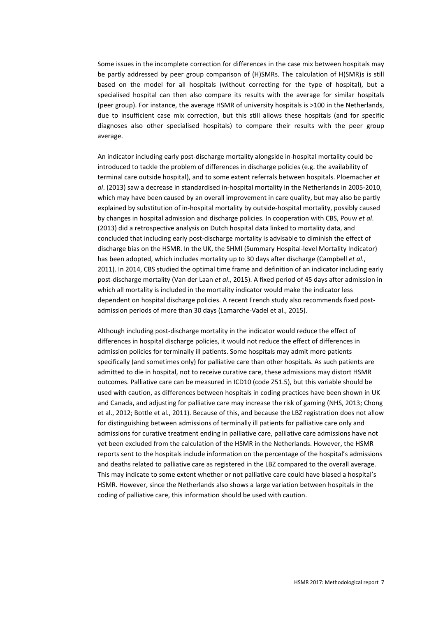Some issues in the incomplete correction for differences in the case mix between hospitals may be partly addressed by peer group comparison of (H)SMRs. The calculation of H(SMR)s is still based on the model for all hospitals (without correcting for the type of hospital), but a specialised hospital can then also compare its results with the average for similar hospitals (peer group). For instance, the average HSMR of university hospitals is >100 in the Netherlands, due to insufficient case mix correction, but this still allows these hospitals (and for specific diagnoses also other specialised hospitals) to compare their results with the peer group average.

An indicator including early post-discharge mortality alongside in-hospital mortality could be introduced to tackle the problem of differences in discharge policies (e.g. the availability of terminal care outside hospital), and to some extent referrals between hospitals. Ploemacher *et al*. (2013) saw a decrease in standardised in-hospital mortality in the Netherlands in 2005-2010, which may have been caused by an overall improvement in care quality, but may also be partly explained by substitution of in-hospital mortality by outside-hospital mortality, possibly caused by changes in hospital admission and discharge policies. In cooperation with CBS, Pouw *et al*. (2013) did a retrospective analysis on Dutch hospital data linked to mortality data, and concluded that including early post-discharge mortality is advisable to diminish the effect of discharge bias on the HSMR. In the UK, the SHMI (Summary Hospital-level Mortality Indicator) has been adopted, which includes mortality up to 30 days after discharge (Campbell *et al*., 2011). In 2014, CBS studied the optimal time frame and definition of an indicator including early post-discharge mortality (Van der Laan *et al*., 2015). A fixed period of 45 days after admission in which all mortality is included in the mortality indicator would make the indicator less dependent on hospital discharge policies. A recent French study also recommends fixed postadmission periods of more than 30 days (Lamarche-Vadel et al., 2015).

Although including post-discharge mortality in the indicator would reduce the effect of differences in hospital discharge policies, it would not reduce the effect of differences in admission policies for terminally ill patients. Some hospitals may admit more patients specifically (and sometimes only) for palliative care than other hospitals. As such patients are admitted to die in hospital, not to receive curative care, these admissions may distort HSMR outcomes. Palliative care can be measured in ICD10 (code Z51.5), but this variable should be used with caution, as differences between hospitals in coding practices have been shown in UK and Canada, and adjusting for palliative care may increase the risk of gaming (NHS, 2013; Chong et al., 2012; Bottle et al., 2011). Because of this, and because the LBZ registration does not allow for distinguishing between admissions of terminally ill patients for palliative care only and admissions for curative treatment ending in palliative care, palliative care admissions have not yet been excluded from the calculation of the HSMR in the Netherlands. However, the HSMR reports sent to the hospitals include information on the percentage of the hospital's admissions and deaths related to palliative care as registered in the LBZ compared to the overall average. This may indicate to some extent whether or not palliative care could have biased a hospital's HSMR. However, since the Netherlands also shows a large variation between hospitals in the coding of palliative care, this information should be used with caution.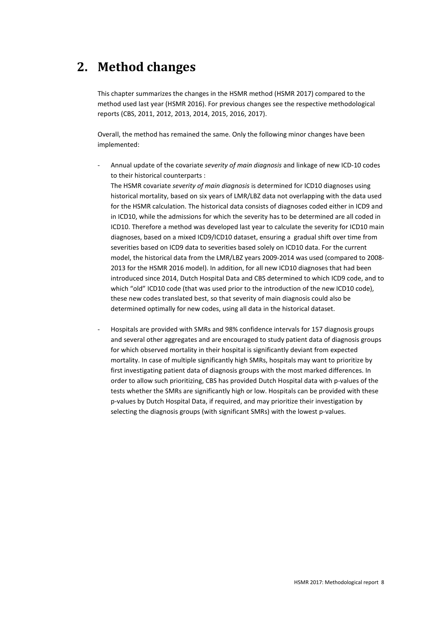# **2. Method changes**

This chapter summarizes the changes in the HSMR method (HSMR 2017) compared to the method used last year (HSMR 2016). For previous changes see the respective methodological reports (CBS, 2011, 2012, 2013, 2014, 2015, 2016, 2017).

Overall, the method has remained the same. Only the following minor changes have been implemented:

- Annual update of the covariate *severity of main diagnosis* and linkage of new ICD-10 codes to their historical counterparts :

The HSMR covariate *severity of main diagnosis* is determined for ICD10 diagnoses using historical mortality, based on six years of LMR/LBZ data not overlapping with the data used for the HSMR calculation. The historical data consists of diagnoses coded either in ICD9 and in ICD10, while the admissions for which the severity has to be determined are all coded in ICD10. Therefore a method was developed last year to calculate the severity for ICD10 main diagnoses, based on a mixed ICD9/ICD10 dataset, ensuring a gradual shift over time from severities based on ICD9 data to severities based solely on ICD10 data. For the current model, the historical data from the LMR/LBZ years 2009-2014 was used (compared to 2008- 2013 for the HSMR 2016 model). In addition, for all new ICD10 diagnoses that had been introduced since 2014, Dutch Hospital Data and CBS determined to which ICD9 code, and to which "old" ICD10 code (that was used prior to the introduction of the new ICD10 code), these new codes translated best, so that severity of main diagnosis could also be determined optimally for new codes, using all data in the historical dataset.

- Hospitals are provided with SMRs and 98% confidence intervals for 157 diagnosis groups and several other aggregates and are encouraged to study patient data of diagnosis groups for which observed mortality in their hospital is significantly deviant from expected mortality. In case of multiple significantly high SMRs, hospitals may want to prioritize by first investigating patient data of diagnosis groups with the most marked differences. In order to allow such prioritizing, CBS has provided Dutch Hospital data with p-values of the tests whether the SMRs are significantly high or low. Hospitals can be provided with these p-values by Dutch Hospital Data, if required, and may prioritize their investigation by selecting the diagnosis groups (with significant SMRs) with the lowest p-values.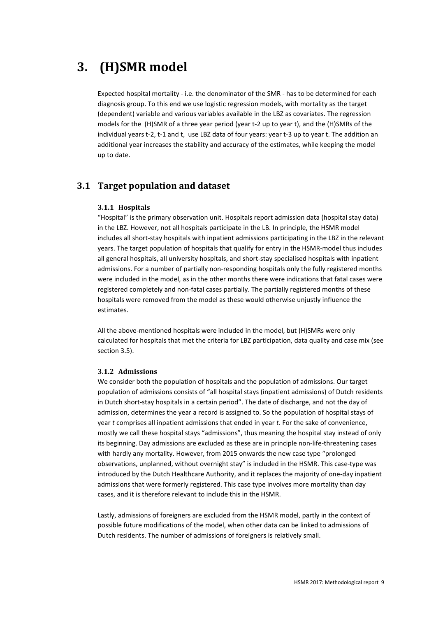# **3. (H)SMR model**

Expected hospital mortality - i.e. the denominator of the SMR - has to be determined for each diagnosis group. To this end we use logistic regression models, with mortality as the target (dependent) variable and various variables available in the LBZ as covariates. The regression models for the (H)SMR of a three year period (year t-2 up to year t), and the (H)SMRs of the individual years t-2, t-1 and t, use LBZ data of four years: year t-3 up to year t. The addition an additional year increases the stability and accuracy of the estimates, while keeping the model up to date.

# **3.1 Target population and dataset**

#### **3.1.1 Hospitals**

"Hospital" is the primary observation unit. Hospitals report admission data (hospital stay data) in the LBZ. However, not all hospitals participate in the LB. In principle, the HSMR model includes all short-stay hospitals with inpatient admissions participating in the LBZ in the relevant years. The target population of hospitals that qualify for entry in the HSMR-model thus includes all general hospitals, all university hospitals, and short-stay specialised hospitals with inpatient admissions. For a number of partially non-responding hospitals only the fully registered months were included in the model, as in the other months there were indications that fatal cases were registered completely and non-fatal cases partially. The partially registered months of these hospitals were removed from the model as these would otherwise unjustly influence the estimates.

All the above-mentioned hospitals were included in the model, but (H)SMRs were only calculated for hospitals that met the criteria for LBZ participation, data quality and case mix (see section 3.5).

#### **3.1.2 Admissions**

We consider both the population of hospitals and the population of admissions. Our target population of admissions consists of "all hospital stays (inpatient admissions) of Dutch residents in Dutch short-stay hospitals in a certain period". The date of discharge, and not the day of admission, determines the year a record is assigned to. So the population of hospital stays of year *t* comprises all inpatient admissions that ended in year *t*. For the sake of convenience, mostly we call these hospital stays "admissions", thus meaning the hospital stay instead of only its beginning. Day admissions are excluded as these are in principle non-life-threatening cases with hardly any mortality. However, from 2015 onwards the new case type "prolonged observations, unplanned, without overnight stay" is included in the HSMR. This case-type was introduced by the Dutch Healthcare Authority, and it replaces the majority of one-day inpatient admissions that were formerly registered. This case type involves more mortality than day cases, and it is therefore relevant to include this in the HSMR.

Lastly, admissions of foreigners are excluded from the HSMR model, partly in the context of possible future modifications of the model, when other data can be linked to admissions of Dutch residents. The number of admissions of foreigners is relatively small.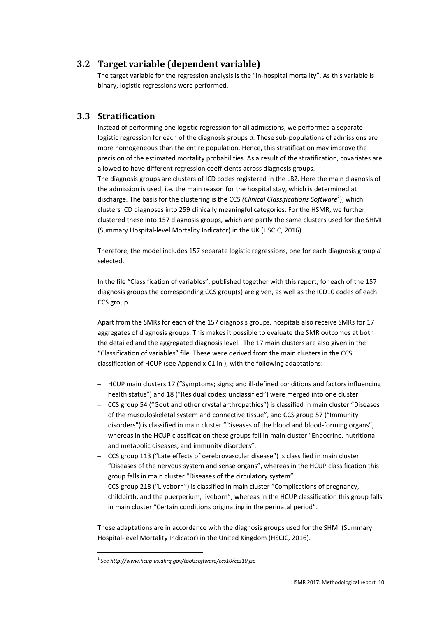# **3.2 Target variable (dependent variable)**

The target variable for the regression analysis is the "in-hospital mortality". As this variable is binary, logistic regressions were performed.

## **3.3 Stratification**

Instead of performing one logistic regression for all admissions, we performed a separate logistic regression for each of the diagnosis groups *d*. These sub-populations of admissions are more homogeneous than the entire population. Hence, this stratification may improve the precision of the estimated mortality probabilities. As a result of the stratification, covariates are allowed to have different regression coefficients across diagnosis groups. The diagnosis groups are clusters of ICD codes registered in the LBZ. Here the main diagnosis of the admission is used, i.e. the main reason for the hospital stay, which is determined at discharge. The basis for the clustering is the CCS *(Clinical Classifications Software<sup>1</sup>* ), which clusters ICD diagnoses into 259 clinically meaningful categories. For the HSMR, we further clustered these into 157 diagnosis groups, which are partly the same clusters used for the SHMI (Summary Hospital-level Mortality Indicator) in the UK (HSCIC, 2016).

Therefore, the model includes 157 separate logistic regressions, one for each diagnosis group *d* selected.

In the file "Classification of variables", published together with this report, for each of the 157 diagnosis groups the corresponding CCS group(s) are given, as well as the ICD10 codes of each CCS group.

Apart from the SMRs for each of the 157 diagnosis groups, hospitals also receive SMRs for 17 aggregates of diagnosis groups. This makes it possible to evaluate the SMR outcomes at both the detailed and the aggregated diagnosis level. The 17 main clusters are also given in the "Classification of variables" file. These were derived from the main clusters in the CCS classification of HCUP (see Appendix C1 in ), with the following adaptations:

- HCUP main clusters 17 ("Symptoms; signs; and ill-defined conditions and factors influencing health status") and 18 ("Residual codes; unclassified") were merged into one cluster.
- CCS group 54 ("Gout and other crystal arthropathies") is classified in main cluster "Diseases of the musculoskeletal system and connective tissue", and CCS group 57 ("Immunity disorders") is classified in main cluster "Diseases of the blood and blood-forming organs", whereas in the HCUP classification these groups fall in main cluster "Endocrine, nutritional and metabolic diseases, and immunity disorders".
- CCS group 113 ("Late effects of cerebrovascular disease") is classified in main cluster "Diseases of the nervous system and sense organs", whereas in the HCUP classification this group falls in main cluster "Diseases of the circulatory system".
- CCS group 218 ("Liveborn") is classified in main cluster "Complications of pregnancy, childbirth, and the puerperium; liveborn", whereas in the HCUP classification this group falls in main cluster "Certain conditions originating in the perinatal period".

These adaptations are in accordance with the diagnosis groups used for the SHMI (Summary Hospital-level Mortality Indicator) in the United Kingdom (HSCIC, 2016).

<sup>1</sup> *See http://www.hcup-us.ahrq.gov/toolssoftware/ccs10/ccs10.jsp*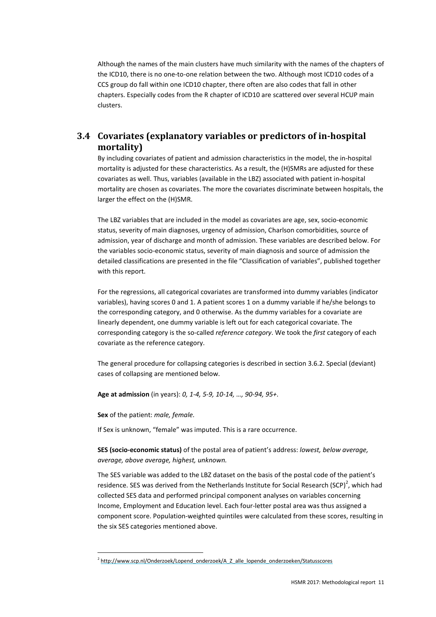Although the names of the main clusters have much similarity with the names of the chapters of the ICD10, there is no one-to-one relation between the two. Although most ICD10 codes of a CCS group do fall within one ICD10 chapter, there often are also codes that fall in other chapters. Especially codes from the R chapter of ICD10 are scattered over several HCUP main clusters.

# **3.4 Covariates (explanatory variables or predictors of in-hospital mortality)**

By including covariates of patient and admission characteristics in the model, the in-hospital mortality is adjusted for these characteristics. As a result, the (H)SMRs are adjusted for these covariates as well. Thus, variables (available in the LBZ) associated with patient in-hospital mortality are chosen as covariates. The more the covariates discriminate between hospitals, the larger the effect on the (H)SMR.

The LBZ variables that are included in the model as covariates are age, sex, socio-economic status, severity of main diagnoses, urgency of admission, Charlson comorbidities, source of admission, year of discharge and month of admission. These variables are described below. For the variables socio-economic status, severity of main diagnosis and source of admission the detailed classifications are presented in the file "Classification of variables", published together with this report.

For the regressions, all categorical covariates are transformed into dummy variables (indicator variables), having scores 0 and 1. A patient scores 1 on a dummy variable if he/she belongs to the corresponding category, and 0 otherwise. As the dummy variables for a covariate are linearly dependent, one dummy variable is left out for each categorical covariate. The corresponding category is the so-called *reference category*. We took the *first* category of each covariate as the reference category.

The general procedure for collapsing categories is described in section 3.6.2. Special (deviant) cases of collapsing are mentioned below.

**Age at admission** (in years): *0, 1-4, 5-9, 10-14, …, 90-94, 95+*.

**Sex** of the patient: *male, female.*

If Sex is unknown, "female" was imputed. This is a rare occurrence.

**SES (socio-economic status)** of the postal area of patient's address: *lowest, below average, average, above average, highest, unknown.*

The SES variable was added to the LBZ dataset on the basis of the postal code of the patient's residence. SES was derived from the Netherlands Institute for Social Research (SCP)<sup>2</sup>, which had collected SES data and performed principal component analyses on variables concerning Income, Employment and Education level. Each four-letter postal area was thus assigned a component score. Population-weighted quintiles were calculated from these scores, resulting in the six SES categories mentioned above.

<sup>&</sup>lt;sup>2</sup> http://www.scp.nl/Onderzoek/Lopend\_onderzoek/A\_Z\_alle\_lopende\_onderzoeken/Statusscores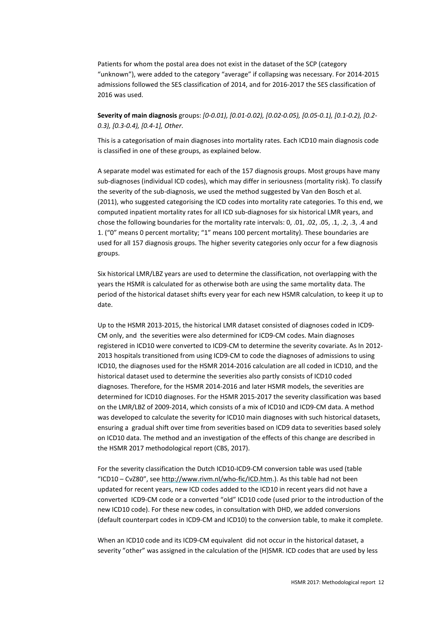Patients for whom the postal area does not exist in the dataset of the SCP (category "unknown"), were added to the category "average" if collapsing was necessary. For 2014-2015 admissions followed the SES classification of 2014, and for 2016-2017 the SES classification of 2016 was used.

**Severity of main diagnosis** groups: *[0-0.01), [0.01-0.02), [0.02-0.05), [0.05-0.1), [0.1-0.2), [0.2- 0.3), [0.3-0.4), [0.4-1], Other*.

This is a categorisation of main diagnoses into mortality rates. Each ICD10 main diagnosis code is classified in one of these groups, as explained below.

A separate model was estimated for each of the 157 diagnosis groups. Most groups have many sub-diagnoses (individual ICD codes), which may differ in seriousness (mortality risk). To classify the severity of the sub-diagnosis, we used the method suggested by Van den Bosch et al. (2011), who suggested categorising the ICD codes into mortality rate categories. To this end, we computed inpatient mortality rates for all ICD sub-diagnoses for six historical LMR years, and chose the following boundaries for the mortality rate intervals: 0, .01, .02, .05, .1, .2, .3, .4 and 1. ("0" means 0 percent mortality; "1" means 100 percent mortality). These boundaries are used for all 157 diagnosis groups. The higher severity categories only occur for a few diagnosis groups.

Six historical LMR/LBZ years are used to determine the classification, not overlapping with the years the HSMR is calculated for as otherwise both are using the same mortality data. The period of the historical dataset shifts every year for each new HSMR calculation, to keep it up to date.

Up to the HSMR 2013-2015, the historical LMR dataset consisted of diagnoses coded in ICD9- CM only, and the severities were also determined for ICD9-CM codes. Main diagnoses registered in ICD10 were converted to ICD9-CM to determine the severity covariate. As In 2012- 2013 hospitals transitioned from using ICD9-CM to code the diagnoses of admissions to using ICD10, the diagnoses used for the HSMR 2014-2016 calculation are all coded in ICD10, and the historical dataset used to determine the severities also partly consists of ICD10 coded diagnoses. Therefore, for the HSMR 2014-2016 and later HSMR models, the severities are determined for ICD10 diagnoses. For the HSMR 2015-2017 the severity classification was based on the LMR/LBZ of 2009-2014, which consists of a mix of ICD10 and ICD9-CM data. A method was developed to calculate the severity for ICD10 main diagnoses with such historical datasets, ensuring a gradual shift over time from severities based on ICD9 data to severities based solely on ICD10 data. The method and an investigation of the effects of this change are described in the HSMR 2017 methodological report (CBS, 2017).

For the severity classification the Dutch ICD10-ICD9-CM conversion table was used (table "ICD10 – CvZ80", see http://www.rivm.nl/who-fic/ICD.htm.). As this table had not been updated for recent years, new ICD codes added to the ICD10 in recent years did not have a converted ICD9-CM code or a converted "old" ICD10 code (used prior to the introduction of the new ICD10 code). For these new codes, in consultation with DHD, we added conversions (default counterpart codes in ICD9-CM and ICD10) to the conversion table, to make it complete.

When an ICD10 code and its ICD9-CM equivalent did not occur in the historical dataset, a severity "other" was assigned in the calculation of the (H)SMR. ICD codes that are used by less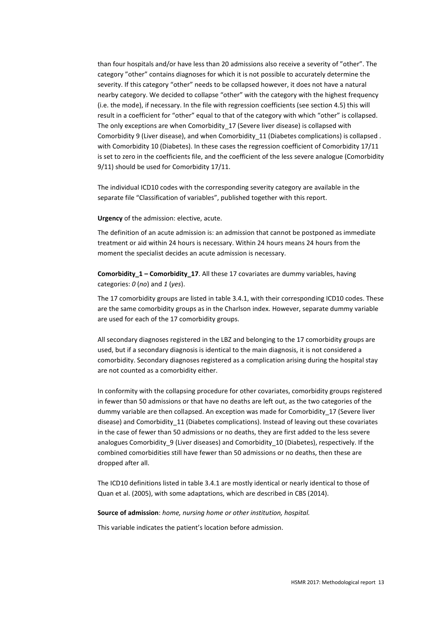than four hospitals and/or have less than 20 admissions also receive a severity of "other". The category "other" contains diagnoses for which it is not possible to accurately determine the severity. If this category "other" needs to be collapsed however, it does not have a natural nearby category. We decided to collapse "other" with the category with the highest frequency (i.e. the mode), if necessary. In the file with regression coefficients (see section 4.5) this will result in a coefficient for "other" equal to that of the category with which "other" is collapsed. The only exceptions are when Comorbidity 17 (Severe liver disease) is collapsed with Comorbidity 9 (Liver disease), and when Comorbidity 11 (Diabetes complications) is collapsed . with Comorbidity 10 (Diabetes). In these cases the regression coefficient of Comorbidity 17/11 is set to zero in the coefficients file, and the coefficient of the less severe analogue (Comorbidity 9/11) should be used for Comorbidity 17/11.

The individual ICD10 codes with the corresponding severity category are available in the separate file "Classification of variables", published together with this report.

**Urgency** of the admission: elective, acute.

The definition of an acute admission is: an admission that cannot be postponed as immediate treatment or aid within 24 hours is necessary. Within 24 hours means 24 hours from the moment the specialist decides an acute admission is necessary.

**Comorbidity\_1 – Comorbidity\_17**. All these 17 covariates are dummy variables, having categories: *0* (*no*) and *1* (*yes*).

The 17 comorbidity groups are listed in table 3.4.1, with their corresponding ICD10 codes. These are the same comorbidity groups as in the Charlson index. However, separate dummy variable are used for each of the 17 comorbidity groups.

All secondary diagnoses registered in the LBZ and belonging to the 17 comorbidity groups are used, but if a secondary diagnosis is identical to the main diagnosis, it is not considered a comorbidity. Secondary diagnoses registered as a complication arising during the hospital stay are not counted as a comorbidity either.

In conformity with the collapsing procedure for other covariates, comorbidity groups registered in fewer than 50 admissions or that have no deaths are left out, as the two categories of the dummy variable are then collapsed. An exception was made for Comorbidity\_17 (Severe liver disease) and Comorbidity\_11 (Diabetes complications). Instead of leaving out these covariates in the case of fewer than 50 admissions or no deaths, they are first added to the less severe analogues Comorbidity 9 (Liver diseases) and Comorbidity 10 (Diabetes), respectively. If the combined comorbidities still have fewer than 50 admissions or no deaths, then these are dropped after all.

The ICD10 definitions listed in table 3.4.1 are mostly identical or nearly identical to those of Quan et al. (2005), with some adaptations, which are described in CBS (2014).

**Source of admission**: *home, nursing home or other institution, hospital.* 

This variable indicates the patient's location before admission.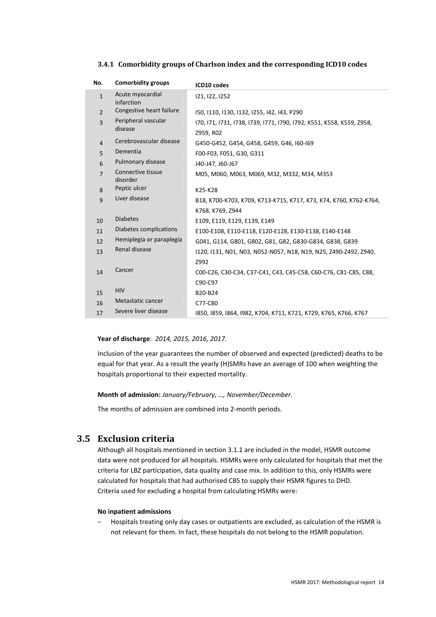| No.            | <b>Comorbidity groups</b>      | ICD10 codes                                                                           |
|----------------|--------------------------------|---------------------------------------------------------------------------------------|
| $\mathbf{1}$   | Acute myocardial<br>infarction | 121, 122, 1252                                                                        |
| $\overline{2}$ | Congestive heart failure       | I50, I110, I130, I132, I255, I42, I43, P290                                           |
| $\overline{3}$ | Peripheral vascular<br>disease | I70, I71, I731, I738, I739, I771, I790, I792, K551, K558, K559, Z958,<br>Z959, R02    |
| $\overline{4}$ | Cerebrovascular disease        | G450-G452, G454, G458, G459, G46, I60-I69                                             |
| 5              | Dementia                       | F00-F03, F051, G30, G311                                                              |
| 6              | Pulmonary disease              | J40-J47, J60-J67                                                                      |
| $\overline{7}$ | Connective tissue<br>disorder  | M05, M060, M063, M069, M32, M332, M34, M353                                           |
| 8              | Peptic ulcer                   | K25-K28                                                                               |
| 9              | Liver disease                  | B18, K700-K703, K709, K713-K715, K717, K73, K74, K760, K762-K764,<br>K768, K769, Z944 |
| 10             | <b>Diabetes</b>                | E109, E119, E129, E139, E149                                                          |
| 11             | Diabetes complications         | E100-E108, E110-E118, E120-E128, E130-E138, E140-E148                                 |
| 12             | Hemiplegia or paraplegia       | G041, G114, G801, G802, G81, G82, G830-G834, G838, G839                               |
| 13             | Renal disease                  | 1120, 1131, N01, N03, N052-N057, N18, N19, N25, Z490-Z492, Z940,                      |
| 14             | Cancer                         | Z992<br>C00-C26, C30-C34, C37-C41, C43, C45-C58, C60-C76, C81-C85, C88,<br>C90-C97    |
| 15             | <b>HIV</b>                     | B20-B24                                                                               |
| 16             | Metastatic cancer              | C77-C80                                                                               |
| 17             | Severe liver disease           | 1850, 1859, 1864, 1982, K704, K711, K721, K729, K765, K766, K767                      |

#### **3.4.1 Comorbidity groups of Charlson index and the corresponding ICD10 codes**

#### **Year of discharge**: *2014, 2015, 2016, 2017*.

Inclusion of the year guarantees the number of observed and expected (predicted) deaths to be equal for that year. As a result the yearly (H)SMRs have an average of 100 when weighting the hospitals proportional to their expected mortality.

**Month of admission:** *January/February, …, November/December*.

The months of admission are combined into 2-month periods.

### **3.5 Exclusion criteria**

Although all hospitals mentioned in section 3.1.1 are included in the model, HSMR outcome data were not produced for all hospitals. HSMRs were only calculated for hospitals that met the criteria for LBZ participation, data quality and case mix. In addition to this, only HSMRs were calculated for hospitals that had authorised CBS to supply their HSMR figures to DHD. Criteria used for excluding a hospital from calculating HSMRs were:

#### **No inpatient admissions**

− Hospitals treating only day cases or outpatients are excluded, as calculation of the HSMR is not relevant for them. In fact, these hospitals do not belong to the HSMR population.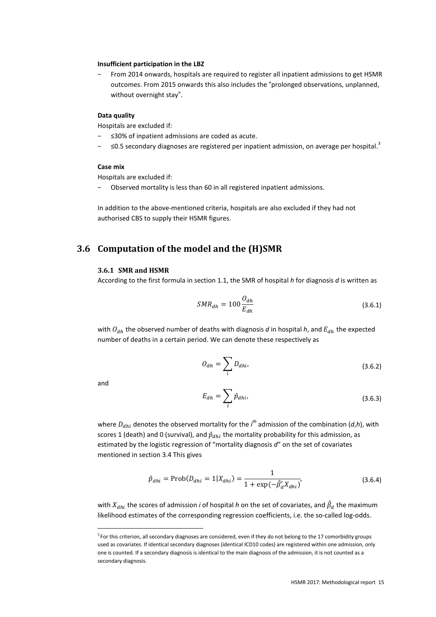#### **Insufficient participation in the LBZ**

From 2014 onwards, hospitals are required to register all inpatient admissions to get HSMR outcomes. From 2015 onwards this also includes the "prolonged observations, unplanned, without overnight stay".

#### **Data quality**

Hospitals are excluded if*:*

- ≤30% of inpatient admissions are coded as acute.
- ≤0.5 secondary diagnoses are registered per inpatient admission, on average per hospital.<sup>3</sup>

#### **Case mix**

Hospitals are excluded if:

− Observed mortality is less than 60 in all registered inpatient admissions.

In addition to the above-mentioned criteria, hospitals are also excluded if they had not authorised CBS to supply their HSMR figures.

## **3.6 Computation of the model and the (H)SMR**

#### **3.6.1 SMR and HSMR**

According to the first formula in section 1.1, the SMR of hospital *h* for diagnosis *d* is written as

$$
SMR_{dh} = 100 \frac{O_{dh}}{E_{dh}}
$$
 (3.6.1)

with  $O_{dh}$  the observed number of deaths with diagnosis *d* in hospital *h*, and  $E_{dh}$  the expected number of deaths in a certain period. We can denote these respectively as

$$
O_{dh} = \sum_{i} D_{dhi}, \tag{3.6.2}
$$

and

$$
E_{dh} = \sum_{i} \hat{p}_{dhi}, \tag{3.6.3}
$$

where  $D_{dhi}$  denotes the observed mortality for the *i*<sup>th</sup> admission of the combination (*d*,*h*), with scores 1 (death) and 0 (survival), and  $\hat{p}_{dhi}$  the mortality probability for this admission, as estimated by the logistic regression of "mortality diagnosis *d*" on the set of covariates mentioned in section 3.4 This gives

$$
\hat{p}_{dhi} = \text{Prob}(D_{dhi} = 1 | X_{dhi}) = \frac{1}{1 + \exp(-\hat{\beta}_d' X_{dhi})'}
$$
\n(3.6.4)

with  $X_{dhi}$  the scores of admission *i* of hospital  $h$  on the set of covariates, and  $\hat{\beta}_d$  the maximum likelihood estimates of the corresponding regression coefficients, i.e. the so-called log-odds.

<sup>&</sup>lt;sup>3</sup> For this criterion, all secondary diagnoses are considered, even if they do not belong to the 17 comorbidity groups used as covariates. If identical secondary diagnoses (identical ICD10 codes) are registered within one admission, only one is counted. If a secondary diagnosis is identical to the main diagnosis of the admission, it is not counted as a secondary diagnosis.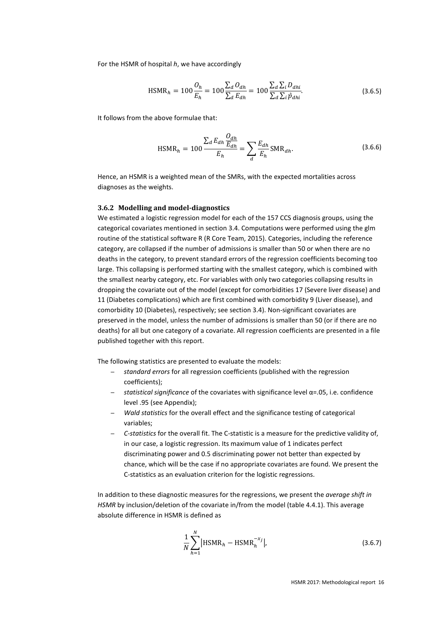For the HSMR of hospital *h*, we have accordingly

$$
\text{HSMR}_h = 100 \frac{O_h}{E_h} = 100 \frac{\sum_d O_{dh}}{\sum_d E_{dh}} = 100 \frac{\sum_d \sum_i D_{dhi}}{\sum_d \sum_i \hat{p}_{dhi}}.
$$
\n(3.6.5)

It follows from the above formulae that:

$$
\text{HSMR}_h = 100 \frac{\sum_d E_{dh} \frac{O_{dh}}{E_{dh}}}{E_h} = \sum_d \frac{E_{dh}}{E_h} \text{SMR}_{dh}.
$$
\n(3.6.6)

Hence, an HSMR is a weighted mean of the SMRs, with the expected mortalities across diagnoses as the weights.

#### **3.6.2 Modelling and model-diagnostics**

We estimated a logistic regression model for each of the 157 CCS diagnosis groups, using the categorical covariates mentioned in section 3.4. Computations were performed using the glm routine of the statistical software R (R Core Team, 2015). Categories, including the reference category, are collapsed if the number of admissions is smaller than 50 or when there are no deaths in the category, to prevent standard errors of the regression coefficients becoming too large. This collapsing is performed starting with the smallest category, which is combined with the smallest nearby category, etc. For variables with only two categories collapsing results in dropping the covariate out of the model (except for comorbidities 17 (Severe liver disease) and 11 (Diabetes complications) which are first combined with comorbidity 9 (Liver disease), and comorbidity 10 (Diabetes), respectively; see section 3.4). Non-significant covariates are preserved in the model, unless the number of admissions is smaller than 50 (or if there are no deaths) for all but one category of a covariate. All regression coefficients are presented in a file published together with this report.

The following statistics are presented to evaluate the models:

- *standard errors* for all regression coefficients (published with the regression coefficients);
- *statistical significance* of the covariates with significance level α=.05, i.e. confidence level .95 (see Appendix);
- *Wald statistics* for the overall effect and the significance testing of categorical variables;
- *C-statistics* for the overall fit. The C-statistic is a measure for the predictive validity of, in our case, a logistic regression. Its maximum value of 1 indicates perfect discriminating power and 0.5 discriminating power not better than expected by chance, which will be the case if no appropriate covariates are found. We present the C-statistics as an evaluation criterion for the logistic regressions.

In addition to these diagnostic measures for the regressions, we present the *average shift in HSMR* by inclusion/deletion of the covariate in/from the model (table 4.4.1). This average absolute difference in HSMR is defined as

$$
\frac{1}{N} \sum_{h=1}^{N} |HSMR_h - HSMR_h^{-x_j}|,
$$
\n(3.6.7)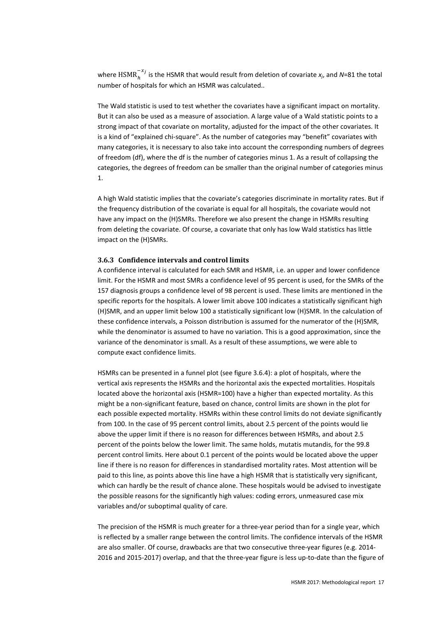where  ${\rm HSMR}_{h}^{-x_{f}}$  is the HSMR that would result from deletion of covariate  $x_{j}$ , and N=81 the total number of hospitals for which an HSMR was calculated..

The Wald statistic is used to test whether the covariates have a significant impact on mortality. But it can also be used as a measure of association. A large value of a Wald statistic points to a strong impact of that covariate on mortality, adjusted for the impact of the other covariates. It is a kind of "explained chi-square". As the number of categories may "benefit" covariates with many categories, it is necessary to also take into account the corresponding numbers of degrees of freedom (df), where the df is the number of categories minus 1. As a result of collapsing the categories, the degrees of freedom can be smaller than the original number of categories minus 1.

A high Wald statistic implies that the covariate's categories discriminate in mortality rates. But if the frequency distribution of the covariate is equal for all hospitals, the covariate would not have any impact on the (H)SMRs. Therefore we also present the change in HSMRs resulting from deleting the covariate. Of course, a covariate that only has low Wald statistics has little impact on the (H)SMRs.

#### **3.6.3 Confidence intervals and control limits**

A confidence interval is calculated for each SMR and HSMR, i.e. an upper and lower confidence limit. For the HSMR and most SMRs a confidence level of 95 percent is used, for the SMRs of the 157 diagnosis groups a confidence level of 98 percent is used. These limits are mentioned in the specific reports for the hospitals. A lower limit above 100 indicates a statistically significant high (H)SMR, and an upper limit below 100 a statistically significant low (H)SMR. In the calculation of these confidence intervals, a Poisson distribution is assumed for the numerator of the (H)SMR, while the denominator is assumed to have no variation. This is a good approximation, since the variance of the denominator is small. As a result of these assumptions, we were able to compute exact confidence limits.

HSMRs can be presented in a funnel plot (see figure 3.6.4): a plot of hospitals, where the vertical axis represents the HSMRs and the horizontal axis the expected mortalities. Hospitals located above the horizontal axis (HSMR=100) have a higher than expected mortality. As this might be a non-significant feature, based on chance, control limits are shown in the plot for each possible expected mortality. HSMRs within these control limits do not deviate significantly from 100. In the case of 95 percent control limits, about 2.5 percent of the points would lie above the upper limit if there is no reason for differences between HSMRs, and about 2.5 percent of the points below the lower limit. The same holds, mutatis mutandis, for the 99.8 percent control limits. Here about 0.1 percent of the points would be located above the upper line if there is no reason for differences in standardised mortality rates. Most attention will be paid to this line, as points above this line have a high HSMR that is statistically very significant, which can hardly be the result of chance alone. These hospitals would be advised to investigate the possible reasons for the significantly high values: coding errors, unmeasured case mix variables and/or suboptimal quality of care.

The precision of the HSMR is much greater for a three-year period than for a single year, which is reflected by a smaller range between the control limits. The confidence intervals of the HSMR are also smaller. Of course, drawbacks are that two consecutive three-year figures (e.g. 2014- 2016 and 2015-2017) overlap, and that the three-year figure is less up-to-date than the figure of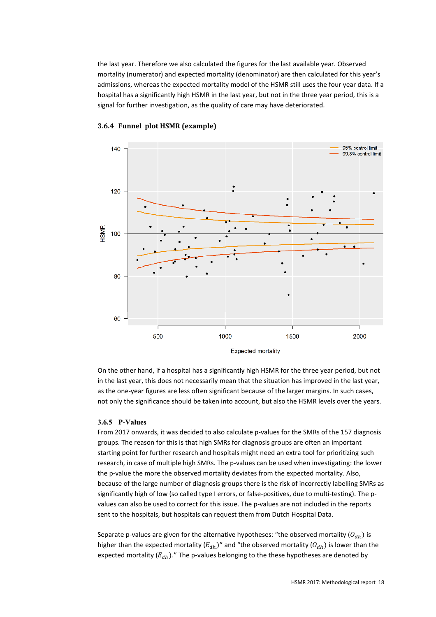the last year. Therefore we also calculated the figures for the last available year. Observed mortality (numerator) and expected mortality (denominator) are then calculated for this year's admissions, whereas the expected mortality model of the HSMR still uses the four year data. If a hospital has a significantly high HSMR in the last year, but not in the three year period, this is a signal for further investigation, as the quality of care may have deteriorated.



#### **3.6.4 Funnel plot HSMR (example)**

On the other hand, if a hospital has a significantly high HSMR for the three year period, but not in the last year, this does not necessarily mean that the situation has improved in the last year, as the one-year figures are less often significant because of the larger margins. In such cases, not only the significance should be taken into account, but also the HSMR levels over the years.

#### **3.6.5 P-Values**

From 2017 onwards, it was decided to also calculate p-values for the SMRs of the 157 diagnosis groups. The reason for this is that high SMRs for diagnosis groups are often an important starting point for further research and hospitals might need an extra tool for prioritizing such research, in case of multiple high SMRs. The p-values can be used when investigating: the lower the p-value the more the observed mortality deviates from the expected mortality. Also, because of the large number of diagnosis groups there is the risk of incorrectly labelling SMRs as significantly high of low (so called type I errors, or false-positives, due to multi-testing). The pvalues can also be used to correct for this issue. The p-values are not included in the reports sent to the hospitals, but hospitals can request them from Dutch Hospital Data.

Separate p-values are given for the alternative hypotheses: "the observed mortality  $(O_{dh})$  is higher than the expected mortality  $(E_{dh})$ " and "the observed mortality  $(O_{dh})$  is lower than the expected mortality  $(E_{dh})$ ." The p-values belonging to the these hypotheses are denoted by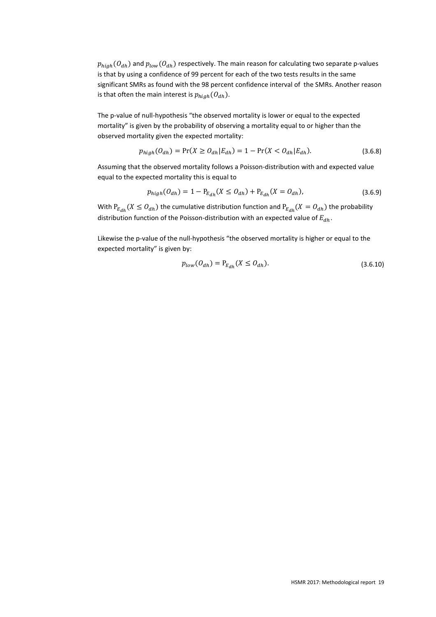$p_{high}(O_{dh})$  and  $p_{low}(O_{dh})$  respectively. The main reason for calculating two separate p-values is that by using a confidence of 99 percent for each of the two tests results in the same significant SMRs as found with the 98 percent confidence interval of the SMRs. Another reason is that often the main interest is  $p_{high}(O_{dh})$ .

The p-value of null-hypothesis "the observed mortality is lower or equal to the expected mortality" is given by the probability of observing a mortality equal to or higher than the observed mortality given the expected mortality:

$$
p_{high}(O_{dh}) = \Pr(X \ge O_{dh} | E_{dh}) = 1 - \Pr(X < O_{dh} | E_{dh}).\tag{3.6.8}
$$

Assuming that the observed mortality follows a Poisson-distribution with and expected value equal to the expected mortality this is equal to

$$
p_{high}(O_{dh}) = 1 - P_{E_{dh}}(X \leq O_{dh}) + P_{E_{dh}}(X = O_{dh}),
$$
\n(3.6.9)

With  $P_{E_{dh}}(X \leq O_{dh})$  the cumulative distribution function and  $P_{E_{dh}}(X = O_{dh})$  the probability distribution function of the Poisson-distribution with an expected value of  $E_{dh}$ .

Likewise the p-value of the null-hypothesis "the observed mortality is higher or equal to the expected mortality" is given by:

$$
p_{low}(O_{dh}) = P_{E_{dh}}(X \le O_{dh}).
$$
\n(3.6.10)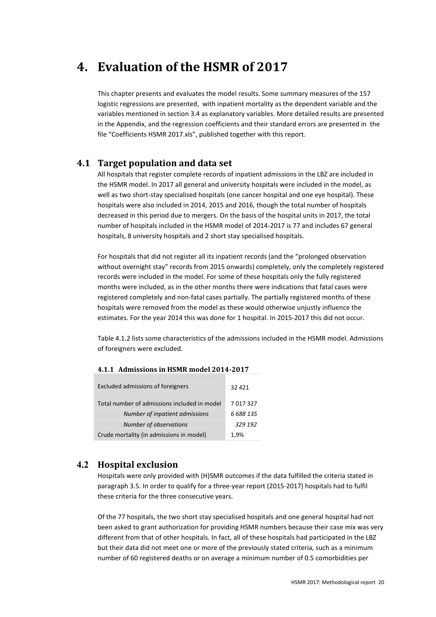# **4. Evaluation of the HSMR of 2017**

This chapter presents and evaluates the model results. Some summary measures of the 157 logistic regressions are presented, with inpatient mortality as the dependent variable and the variables mentioned in section 3.4 as explanatory variables. More detailed results are presented in the Appendix, and the regression coefficients and their standard errors are presented in the file "Coefficients HSMR 2017.xls", published together with this report.

# **4.1 Target population and data set**

All hospitals that register complete records of inpatient admissions in the LBZ are included in the HSMR model. In 2017 all general and university hospitals were included in the model, as well as two short-stay specialised hospitals (one cancer hospital and one eye hospital). These hospitals were also included in 2014, 2015 and 2016, though the total number of hospitals decreased in this period due to mergers. On the basis of the hospital units in 2017, the total number of hospitals included in the HSMR model of 2014-2017 is 77 and includes 67 general hospitals, 8 university hospitals and 2 short stay specialised hospitals.

For hospitals that did not register all its inpatient records (and the "prolonged observation without overnight stay" records from 2015 onwards) completely, only the completely registered records were included in the model. For some of these hospitals only the fully registered months were included, as in the other months there were indications that fatal cases were registered completely and non-fatal cases partially. The partially registered months of these hospitals were removed from the model as these would otherwise unjustly influence the estimates. For the year 2014 this was done for 1 hospital. In 2015-2017 this did not occur.

Table 4.1.2 lists some characteristics of the admissions included in the HSMR model. Admissions of foreigners were excluded.

| <b>Excluded admissions of foreigners</b>     | 32 421    |
|----------------------------------------------|-----------|
| Total number of admissions included in model | 7017327   |
| Number of inpatient admissions               | 6 688 135 |
| Number of observations                       | 329 192   |
| Crude mortality (in admissions in model)     | 1.9%      |

#### **4.1.1 Admissions in HSMR model 2014-2017**

# **4.2 Hospital exclusion**

Hospitals were only provided with (H)SMR outcomes if the data fulfilled the criteria stated in paragraph 3.5. In order to qualify for a three-year report (2015-2017) hospitals had to fulfil these criteria for the three consecutive years.

Of the 77 hospitals, the two short stay specialised hospitals and one general hospital had not been asked to grant authorization for providing HSMR numbers because their case mix was very different from that of other hospitals. In fact, all of these hospitals had participated in the LBZ but their data did not meet one or more of the previously stated criteria, such as a minimum number of 60 registered deaths or on average a minimum number of 0.5 comorbidities per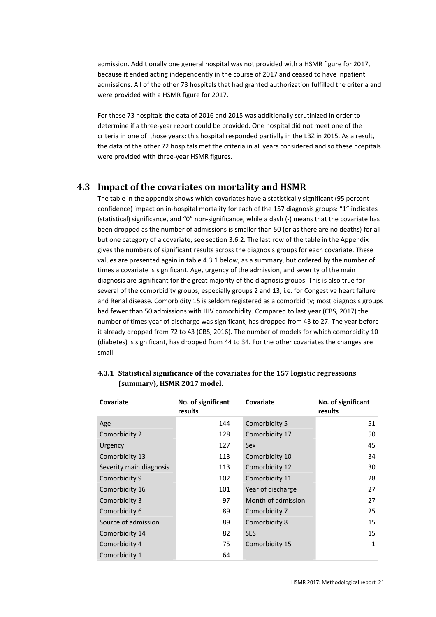admission. Additionally one general hospital was not provided with a HSMR figure for 2017, because it ended acting independently in the course of 2017 and ceased to have inpatient admissions. All of the other 73 hospitals that had granted authorization fulfilled the criteria and were provided with a HSMR figure for 2017.

For these 73 hospitals the data of 2016 and 2015 was additionally scrutinized in order to determine if a three-year report could be provided. One hospital did not meet one of the criteria in one of those years: this hospital responded partially in the LBZ in 2015. As a result, the data of the other 72 hospitals met the criteria in all years considered and so these hospitals were provided with three-year HSMR figures.

### **4.3 Impact of the covariates on mortality and HSMR**

The table in the appendix shows which covariates have a statistically significant (95 percent confidence) impact on in-hospital mortality for each of the 157 diagnosis groups: "1" indicates (statistical) significance, and "0" non-significance, while a dash (-) means that the covariate has been dropped as the number of admissions is smaller than 50 (or as there are no deaths) for all but one category of a covariate; see section 3.6.2. The last row of the table in the Appendix gives the numbers of significant results across the diagnosis groups for each covariate. These values are presented again in table 4.3.1 below, as a summary, but ordered by the number of times a covariate is significant. Age, urgency of the admission, and severity of the main diagnosis are significant for the great majority of the diagnosis groups. This is also true for several of the comorbidity groups, especially groups 2 and 13, i.e. for Congestive heart failure and Renal disease. Comorbidity 15 is seldom registered as a comorbidity; most diagnosis groups had fewer than 50 admissions with HIV comorbidity. Compared to last year (CBS, 2017) the number of times year of discharge was significant, has dropped from 43 to 27. The year before it already dropped from 72 to 43 (CBS, 2016). The number of models for which comorbidity 10 (diabetes) is significant, has dropped from 44 to 34. For the other covariates the changes are small.

| Covariate               | No. of significant<br>results | Covariate          | No. of significant<br>results |
|-------------------------|-------------------------------|--------------------|-------------------------------|
| Age                     | 144                           | Comorbidity 5      | 51                            |
| Comorbidity 2           | 128                           | Comorbidity 17     | 50                            |
| Urgency                 | 127                           | Sex                | 45                            |
| Comorbidity 13          | 113                           | Comorbidity 10     | 34                            |
| Severity main diagnosis | 113                           | Comorbidity 12     | 30                            |
| Comorbidity 9           | 102                           | Comorbidity 11     | 28                            |
| Comorbidity 16          | 101                           | Year of discharge  | 27                            |
| Comorbidity 3           | 97                            | Month of admission | 27                            |
| Comorbidity 6           | 89                            | Comorbidity 7      | 25                            |
| Source of admission     | 89                            | Comorbidity 8      | 15                            |
| Comorbidity 14          | 82                            | <b>SES</b>         | 15                            |
| Comorbidity 4           | 75                            | Comorbidity 15     | $\mathbf{1}$                  |
| Comorbidity 1           | 64                            |                    |                               |

#### **4.3.1 Statistical significance of the covariates for the 157 logistic regressions (summary), HSMR 2017 model.**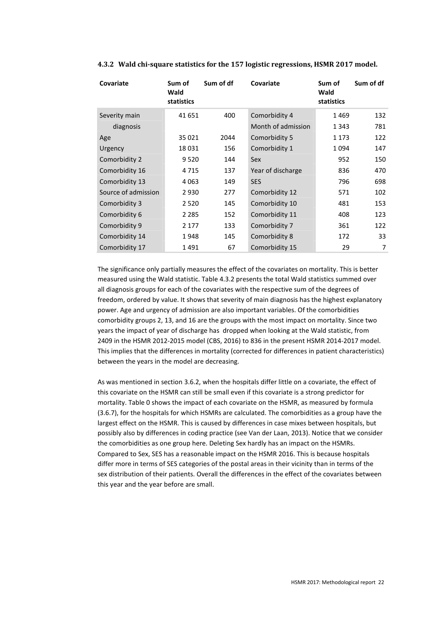| Covariate           | Sum of<br>Wald<br>statistics | Sum of df | Covariate          | Sum of<br>Wald<br>statistics | Sum of df |
|---------------------|------------------------------|-----------|--------------------|------------------------------|-----------|
| Severity main       | 41 651                       | 400       | Comorbidity 4      | 1469                         | 132       |
| diagnosis           |                              |           | Month of admission | 1 3 4 3                      | 781       |
| Age                 | 35 021                       | 2044      | Comorbidity 5      | 1 1 7 3                      | 122       |
| Urgency             | 18 0 31                      | 156       | Comorbidity 1      | 1094                         | 147       |
| Comorbidity 2       | 9 5 2 0                      | 144       | <b>Sex</b>         | 952                          | 150       |
| Comorbidity 16      | 4 7 1 5                      | 137       | Year of discharge  | 836                          | 470       |
| Comorbidity 13      | 4 0 6 3                      | 149       | <b>SES</b>         | 796                          | 698       |
| Source of admission | 2 9 3 0                      | 277       | Comorbidity 12     | 571                          | 102       |
| Comorbidity 3       | 2 5 2 0                      | 145       | Comorbidity 10     | 481                          | 153       |
| Comorbidity 6       | 2 2 8 5                      | 152       | Comorbidity 11     | 408                          | 123       |
| Comorbidity 9       | 2 1 7 7                      | 133       | Comorbidity 7      | 361                          | 122       |
| Comorbidity 14      | 1948                         | 145       | Comorbidity 8      | 172                          | 33        |
| Comorbidity 17      | 1491                         | 67        | Comorbidity 15     | 29                           | 7         |

#### **4.3.2 Wald chi-square statistics for the 157 logistic regressions, HSMR 2017 model.**

The significance only partially measures the effect of the covariates on mortality. This is better measured using the Wald statistic. Table 4.3.2 presents the total Wald statistics summed over all diagnosis groups for each of the covariates with the respective sum of the degrees of freedom, ordered by value. It shows that severity of main diagnosis has the highest explanatory power. Age and urgency of admission are also important variables. Of the comorbidities comorbidity groups 2, 13, and 16 are the groups with the most impact on mortality. Since two years the impact of year of discharge has dropped when looking at the Wald statistic, from 2409 in the HSMR 2012-2015 model (CBS, 2016) to 836 in the present HSMR 2014-2017 model. This implies that the differences in mortality (corrected for differences in patient characteristics) between the years in the model are decreasing.

As was mentioned in section 3.6.2, when the hospitals differ little on a covariate, the effect of this covariate on the HSMR can still be small even if this covariate is a strong predictor for mortality. Table 0 shows the impact of each covariate on the HSMR, as measured by formula (3.6.7), for the hospitals for which HSMRs are calculated. The comorbidities as a group have the largest effect on the HSMR. This is caused by differences in case mixes between hospitals, but possibly also by differences in coding practice (see Van der Laan, 2013). Notice that we consider the comorbidities as one group here. Deleting Sex hardly has an impact on the HSMRs. Compared to Sex, SES has a reasonable impact on the HSMR 2016. This is because hospitals differ more in terms of SES categories of the postal areas in their vicinity than in terms of the sex distribution of their patients. Overall the differences in the effect of the covariates between this year and the year before are small.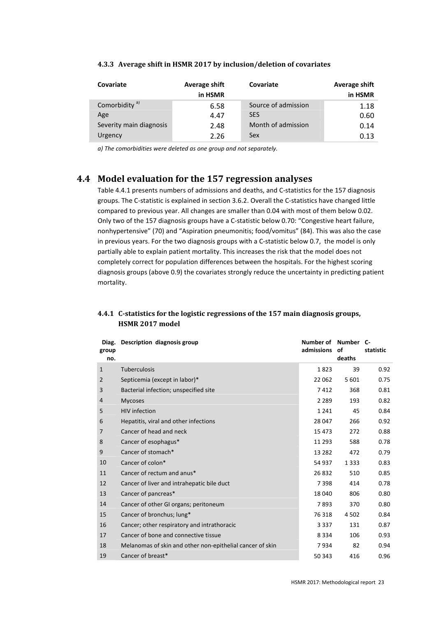| Covariate                        | Average shift<br>in HSMR | Covariate                         | Average shift<br>in HSMR |
|----------------------------------|--------------------------|-----------------------------------|--------------------------|
| Comorbidity <sup>a)</sup><br>Age | 6.58<br>4.47             | Source of admission<br><b>SES</b> | 1.18<br>0.60             |
| Severity main diagnosis          | 2.48                     | Month of admission                | 0.14                     |
| Urgency                          | 2.26                     | Sex                               | 0.13                     |

#### **4.3.3 Average shift in HSMR 2017 by inclusion/deletion of covariates**

*a) The comorbidities were deleted as one group and not separately.*

# **4.4 Model evaluation for the 157 regression analyses**

Table 4.4.1 presents numbers of admissions and deaths, and C-statistics for the 157 diagnosis groups. The C-statistic is explained in section 3.6.2. Overall the C-statistics have changed little compared to previous year. All changes are smaller than 0.04 with most of them below 0.02. Only two of the 157 diagnosis groups have a C-statistic below 0.70: "Congestive heart failure, nonhypertensive" (70) and "Aspiration pneumonitis; food/vomitus" (84). This was also the case in previous years. For the two diagnosis groups with a C-statistic below 0.7, the model is only partially able to explain patient mortality. This increases the risk that the model does not completely correct for population differences between the hospitals. For the highest scoring diagnosis groups (above 0.9) the covariates strongly reduce the uncertainty in predicting patient mortality.

### **4.4.1 C-statistics for the logistic regressions of the 157 main diagnosis groups, HSMR 2017 model**

| group<br>no. | Diag. Description diagnosis group                         | Number of Number C-<br>admissions | οf<br>deaths | statistic |
|--------------|-----------------------------------------------------------|-----------------------------------|--------------|-----------|
| $\mathbf{1}$ | <b>Tuberculosis</b>                                       | 1823                              | 39           | 0.92      |
| 2            | Septicemia (except in labor)*                             | 22 062                            | 5 6 0 1      | 0.75      |
| 3            | Bacterial infection; unspecified site                     | 7412                              | 368          | 0.81      |
| 4            | <b>Mycoses</b>                                            | 2 2 8 9                           | 193          | 0.82      |
| 5            | <b>HIV</b> infection                                      | 1 2 4 1                           | 45           | 0.84      |
| 6            | Hepatitis, viral and other infections                     | 28 047                            | 266          | 0.92      |
| 7            | Cancer of head and neck                                   | 15 473                            | 272          | 0.88      |
| 8            | Cancer of esophagus*                                      | 11 293                            | 588          | 0.78      |
| 9            | Cancer of stomach*                                        | 13 282                            | 472          | 0.79      |
| 10           | Cancer of colon*                                          | 54 937                            | 1 3 3 3      | 0.83      |
| 11           | Cancer of rectum and anus*                                | 26 832                            | 510          | 0.85      |
| 12           | Cancer of liver and intrahepatic bile duct                | 7398                              | 414          | 0.78      |
| 13           | Cancer of pancreas*                                       | 18 040                            | 806          | 0.80      |
| 14           | Cancer of other GI organs; peritoneum                     | 7893                              | 370          | 0.80      |
| 15           | Cancer of bronchus; lung*                                 | 76 318                            | 4 5 0 2      | 0.84      |
| 16           | Cancer; other respiratory and intrathoracic               | 3 3 3 7                           | 131          | 0.87      |
| 17           | Cancer of bone and connective tissue                      | 8 3 3 4                           | 106          | 0.93      |
| 18           | Melanomas of skin and other non-epithelial cancer of skin | 7934                              | 82           | 0.94      |
| 19           | Cancer of breast*                                         | 50 343                            | 416          | 0.96      |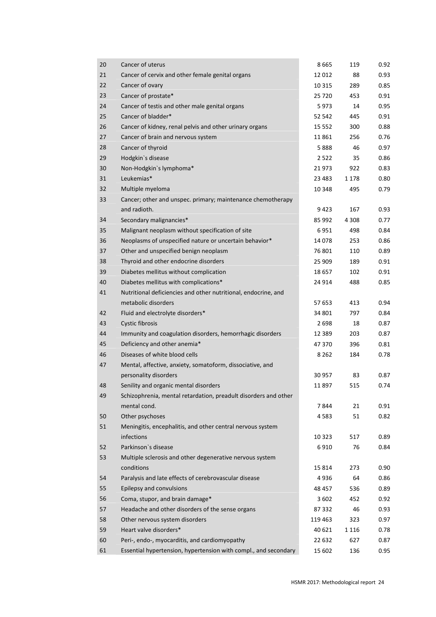| 20 | Cancer of uterus                                                | 8665    | 119     | 0.92 |
|----|-----------------------------------------------------------------|---------|---------|------|
| 21 | Cancer of cervix and other female genital organs                | 12 012  | 88      | 0.93 |
| 22 | Cancer of ovary                                                 | 10 3 15 | 289     | 0.85 |
| 23 | Cancer of prostate*                                             | 25 720  | 453     | 0.91 |
| 24 | Cancer of testis and other male genital organs                  | 5973    | 14      | 0.95 |
| 25 | Cancer of bladder*                                              | 52 542  | 445     | 0.91 |
| 26 | Cancer of kidney, renal pelvis and other urinary organs         | 15 552  | 300     | 0.88 |
| 27 | Cancer of brain and nervous system                              | 11861   | 256     | 0.76 |
| 28 | Cancer of thyroid                                               | 5888    | 46      | 0.97 |
| 29 | Hodgkin's disease                                               | 2522    | 35      | 0.86 |
| 30 | Non-Hodgkin's lymphoma*                                         | 21973   | 922     | 0.83 |
| 31 | Leukemias*                                                      | 23 483  | 1 1 7 8 | 0.80 |
| 32 | Multiple myeloma                                                | 10 348  | 495     | 0.79 |
| 33 | Cancer; other and unspec. primary; maintenance chemotherapy     |         |         |      |
|    | and radioth.                                                    | 9423    | 167     | 0.93 |
| 34 | Secondary malignancies*                                         | 85 992  | 4 3 0 8 | 0.77 |
| 35 | Malignant neoplasm without specification of site                | 6951    | 498     | 0.84 |
| 36 | Neoplasms of unspecified nature or uncertain behavior*          | 14078   | 253     | 0.86 |
| 37 | Other and unspecified benign neoplasm                           | 76 801  | 110     | 0.89 |
| 38 | Thyroid and other endocrine disorders                           | 25 909  | 189     | 0.91 |
| 39 | Diabetes mellitus without complication                          | 18 657  | 102     | 0.91 |
| 40 | Diabetes mellitus with complications*                           | 24 914  | 488     | 0.85 |
| 41 | Nutritional deficiencies and other nutritional, endocrine, and  |         |         |      |
|    | metabolic disorders                                             | 57 653  | 413     | 0.94 |
| 42 | Fluid and electrolyte disorders*                                | 34 801  | 797     | 0.84 |
| 43 | Cystic fibrosis                                                 | 2 6 9 8 | 18      | 0.87 |
| 44 | Immunity and coagulation disorders, hemorrhagic disorders       | 12 389  | 203     | 0.87 |
| 45 | Deficiency and other anemia*                                    | 47 370  | 396     | 0.81 |
| 46 | Diseases of white blood cells                                   | 8 2 6 2 | 184     | 0.78 |
| 47 | Mental, affective, anxiety, somatoform, dissociative, and       |         |         |      |
|    | personality disorders                                           | 30 957  | 83      | 0.87 |
| 48 | Senility and organic mental disorders                           | 11897   | 515     | 0.74 |
| 49 | Schizophrenia, mental retardation, preadult disorders and other |         |         |      |
|    | mental cond.                                                    | 7844    | 21      | 0.91 |
| 50 | Other psychoses                                                 | 4583    | 51      | 0.82 |
| 51 | Meningitis, encephalitis, and other central nervous system      |         |         |      |
|    | infections                                                      | 10 3 23 | 517     | 0.89 |
| 52 | Parkinson's disease                                             | 6910    | 76      | 0.84 |
| 53 | Multiple sclerosis and other degenerative nervous system        |         |         |      |
|    | conditions                                                      | 15 8 14 | 273     | 0.90 |
| 54 | Paralysis and late effects of cerebrovascular disease           | 4936    | 64      | 0.86 |
| 55 | Epilepsy and convulsions                                        | 48 457  | 536     | 0.89 |
| 56 | Coma, stupor, and brain damage*                                 | 3 6 0 2 | 452     | 0.92 |
| 57 | Headache and other disorders of the sense organs                | 87 332  | 46      | 0.93 |
| 58 | Other nervous system disorders                                  | 119 463 | 323     | 0.97 |
| 59 | Heart valve disorders*                                          | 40 621  | 1 1 1 6 | 0.78 |
| 60 | Peri-, endo-, myocarditis, and cardiomyopathy                   | 22 632  | 627     | 0.87 |
| 61 | Essential hypertension, hypertension with compl., and secondary | 15 602  | 136     | 0.95 |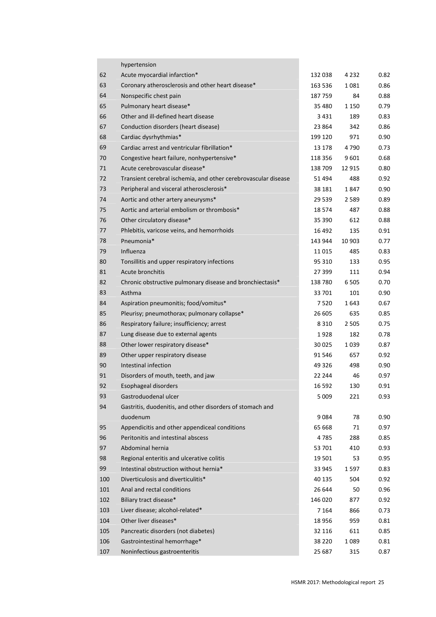|     | hypertension                                                   |         |         |      |
|-----|----------------------------------------------------------------|---------|---------|------|
| 62  | Acute myocardial infarction*                                   | 132 038 | 4 2 3 2 | 0.82 |
| 63  | Coronary atherosclerosis and other heart disease*              | 163 536 | 1081    | 0.86 |
| 64  | Nonspecific chest pain                                         | 187 759 | 84      | 0.88 |
| 65  | Pulmonary heart disease*                                       | 35 480  | 1 1 5 0 | 0.79 |
| 66  | Other and ill-defined heart disease                            | 3431    | 189     | 0.83 |
| 67  | Conduction disorders (heart disease)                           | 23 864  | 342     | 0.86 |
| 68  | Cardiac dysrhythmias*                                          | 199 120 | 971     | 0.90 |
| 69  | Cardiac arrest and ventricular fibrillation*                   | 13 178  | 4790    | 0.73 |
| 70  | Congestive heart failure, nonhypertensive*                     | 118 356 | 9601    | 0.68 |
| 71  | Acute cerebrovascular disease*                                 | 138 709 | 12 9 15 | 0.80 |
| 72  | Transient cerebral ischemia, and other cerebrovascular disease | 51 494  | 488     | 0.92 |
| 73  | Peripheral and visceral atherosclerosis*                       | 38 181  | 1847    | 0.90 |
| 74  | Aortic and other artery aneurysms*                             | 29 539  | 2 5 8 9 | 0.89 |
| 75  | Aortic and arterial embolism or thrombosis*                    | 18 574  | 487     | 0.88 |
| 76  | Other circulatory disease*                                     | 35 390  | 612     | 0.88 |
| 77  | Phlebitis, varicose veins, and hemorrhoids                     | 16 492  | 135     | 0.91 |
| 78  | Pneumonia*                                                     | 143 944 | 10 903  | 0.77 |
| 79  | Influenza                                                      | 11 015  | 485     | 0.83 |
| 80  | Tonsillitis and upper respiratory infections                   | 95 310  | 133     | 0.95 |
| 81  | Acute bronchitis                                               | 27 399  | 111     | 0.94 |
| 82  | Chronic obstructive pulmonary disease and bronchiectasis*      | 138780  | 6 5 0 5 | 0.70 |
| 83  | Asthma                                                         | 33 701  | 101     | 0.90 |
| 84  | Aspiration pneumonitis; food/vomitus*                          | 7 5 2 0 | 1643    | 0.67 |
| 85  | Pleurisy; pneumothorax; pulmonary collapse*                    | 26 605  | 635     | 0.85 |
| 86  | Respiratory failure; insufficiency; arrest                     | 8 3 1 0 | 2 5 0 5 | 0.75 |
| 87  | Lung disease due to external agents                            | 1928    | 182     | 0.78 |
| 88  | Other lower respiratory disease*                               | 30 025  | 1039    | 0.87 |
| 89  | Other upper respiratory disease                                | 91 546  | 657     | 0.92 |
| 90  | Intestinal infection                                           | 49 326  | 498     | 0.90 |
| 91  | Disorders of mouth, teeth, and jaw                             | 22 244  | 46      | 0.97 |
| 92  | Esophageal disorders                                           | 16 592  | 130     | 0.91 |
| 93  | Gastroduodenal ulcer                                           | 5 0 0 9 | 221     | 0.93 |
| 94  | Gastritis, duodenitis, and other disorders of stomach and      |         |         |      |
|     | duodenum                                                       | 9084    | 78      | 0.90 |
| 95  | Appendicitis and other appendiceal conditions                  | 65 668  | 71      | 0.97 |
| 96  | Peritonitis and intestinal abscess                             | 4785    | 288     | 0.85 |
| 97  | Abdominal hernia                                               | 53 701  | 410     | 0.93 |
| 98  | Regional enteritis and ulcerative colitis                      | 19 501  | 53      | 0.95 |
| 99  | Intestinal obstruction without hernia*                         | 33 945  | 1597    | 0.83 |
| 100 | Diverticulosis and diverticulitis*                             | 40 135  | 504     | 0.92 |
| 101 | Anal and rectal conditions                                     | 26 644  | 50      | 0.96 |
| 102 | Biliary tract disease*                                         | 146 020 | 877     | 0.92 |
| 103 | Liver disease; alcohol-related*                                | 7 1 6 4 | 866     | 0.73 |
| 104 | Other liver diseases*                                          | 18 9 56 | 959     | 0.81 |
| 105 | Pancreatic disorders (not diabetes)                            | 32 116  | 611     | 0.85 |
| 106 | Gastrointestinal hemorrhage*                                   | 38 2 20 | 1089    | 0.81 |
| 107 | Noninfectious gastroenteritis                                  | 25 687  | 315     | 0.87 |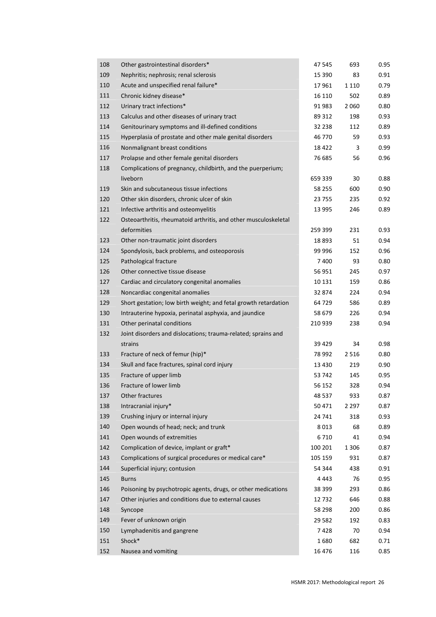| 108 | Other gastrointestinal disorders*                               | 47 545  | 693     | 0.95 |
|-----|-----------------------------------------------------------------|---------|---------|------|
| 109 | Nephritis; nephrosis; renal sclerosis                           | 15 390  | 83      | 0.91 |
| 110 | Acute and unspecified renal failure*                            | 17 961  | 1 1 1 0 | 0.79 |
| 111 | Chronic kidney disease*                                         | 16 110  | 502     | 0.89 |
| 112 | Urinary tract infections*                                       | 91 983  | 2 0 6 0 | 0.80 |
| 113 | Calculus and other diseases of urinary tract                    | 89 312  | 198     | 0.93 |
| 114 | Genitourinary symptoms and ill-defined conditions               | 32 238  | 112     | 0.89 |
| 115 | Hyperplasia of prostate and other male genital disorders        | 46 770  | 59      | 0.93 |
| 116 | Nonmalignant breast conditions                                  | 18 4 22 | 3       | 0.99 |
| 117 | Prolapse and other female genital disorders                     | 76 685  | 56      | 0.96 |
| 118 | Complications of pregnancy, childbirth, and the puerperium;     |         |         |      |
|     | liveborn                                                        | 659 339 | 30      | 0.88 |
| 119 | Skin and subcutaneous tissue infections                         | 58 255  | 600     | 0.90 |
| 120 | Other skin disorders, chronic ulcer of skin                     | 23 755  | 235     | 0.92 |
| 121 | Infective arthritis and osteomyelitis                           | 13 995  | 246     | 0.89 |
| 122 | Osteoarthritis, rheumatoid arthritis, and other musculoskeletal |         |         |      |
|     | deformities                                                     | 259 399 | 231     | 0.93 |
| 123 | Other non-traumatic joint disorders                             | 18893   | 51      | 0.94 |
| 124 | Spondylosis, back problems, and osteoporosis                    | 99 996  | 152     | 0.96 |
| 125 | Pathological fracture                                           | 7400    | 93      | 0.80 |
| 126 | Other connective tissue disease                                 | 56 951  | 245     | 0.97 |
| 127 | Cardiac and circulatory congenital anomalies                    | 10 131  | 159     | 0.86 |
| 128 | Noncardiac congenital anomalies                                 | 32 874  | 224     | 0.94 |
| 129 | Short gestation; low birth weight; and fetal growth retardation | 64 729  | 586     | 0.89 |
| 130 | Intrauterine hypoxia, perinatal asphyxia, and jaundice          | 58 679  | 226     | 0.94 |
| 131 | Other perinatal conditions                                      | 210 939 | 238     | 0.94 |
| 132 | Joint disorders and dislocations; trauma-related; sprains and   |         |         |      |
|     | strains                                                         | 39 4 29 | 34      | 0.98 |
| 133 | Fracture of neck of femur (hip)*                                | 78 992  | 2 5 1 6 | 0.80 |
| 134 | Skull and face fractures, spinal cord injury                    | 13 4 30 | 219     | 0.90 |
| 135 | Fracture of upper limb                                          | 53 742  | 145     | 0.95 |
| 136 | Fracture of lower limb                                          | 56 152  | 328     | 0.94 |
| 137 | Other fractures                                                 | 48 537  | 933     | 0.87 |
| 138 | Intracranial injury*                                            | 50 471  | 2 2 9 7 | 0.87 |
| 139 | Crushing injury or internal injury                              | 24 741  | 318     | 0.93 |
| 140 | Open wounds of head; neck; and trunk                            | 8013    | 68      | 0.89 |
| 141 | Open wounds of extremities                                      | 6710    | 41      | 0.94 |
| 142 | Complication of device, implant or graft*                       | 100 201 | 1 3 0 6 | 0.87 |
| 143 | Complications of surgical procedures or medical care*           | 105 159 | 931     | 0.87 |
| 144 |                                                                 | 54 344  | 438     | 0.91 |
|     | Superficial injury; contusion                                   |         |         |      |
| 145 | <b>Burns</b>                                                    | 4 4 4 3 | 76      | 0.95 |
| 146 | Poisoning by psychotropic agents, drugs, or other medications   | 38 399  | 293     | 0.86 |
| 147 | Other injuries and conditions due to external causes            | 12732   | 646     | 0.88 |
| 148 | Syncope                                                         | 58 298  | 200     | 0.86 |
| 149 | Fever of unknown origin                                         | 29 5 82 | 192     | 0.83 |
| 150 | Lymphadenitis and gangrene                                      | 7428    | 70      | 0.94 |
| 151 | Shock*                                                          | 1680    | 682     | 0.71 |
| 152 | Nausea and vomiting                                             | 16 4 76 | 116     | 0.85 |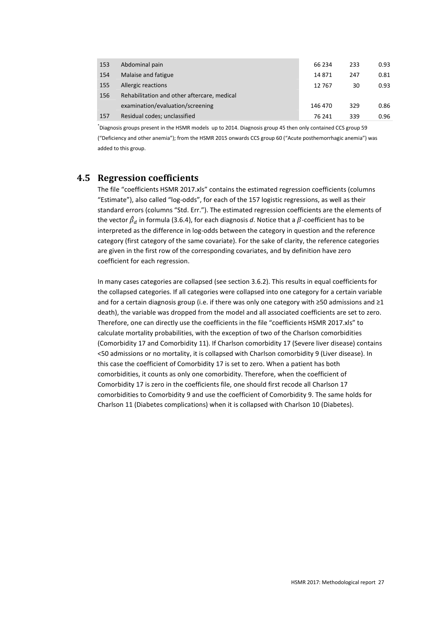| 153 | Abdominal pain                              | 66 234  | 233 | 0.93 |
|-----|---------------------------------------------|---------|-----|------|
| 154 | Malaise and fatigue                         | 14871   | 247 | 0.81 |
| 155 | Allergic reactions                          | 12767   | 30  | 0.93 |
| 156 | Rehabilitation and other aftercare, medical |         |     |      |
|     | examination/evaluation/screening            | 146 470 | 329 | 0.86 |
| 157 | Residual codes; unclassified                | 76 241  | 339 | 0.96 |

\* Diagnosis groups present in the HSMR models up to 2014. Diagnosis group 45 then only contained CCS group 59 ("Deficiency and other anemia"); from the HSMR 2015 onwards CCS group 60 ("Acute posthemorrhagic anemia") was added to this group.

### **4.5 Regression coefficients**

The file "coefficients HSMR 2017.xls" contains the estimated regression coefficients (columns "Estimate"), also called "log-odds", for each of the 157 logistic regressions, as well as their standard errors (columns "Std. Err."). The estimated regression coefficients are the elements of the vector  $\hat{\beta}_d$  in formula (3.6.4), for each diagnosis  $d$ . Notice that a  $\beta$ -coefficient has to be interpreted as the difference in log-odds between the category in question and the reference category (first category of the same covariate). For the sake of clarity, the reference categories are given in the first row of the corresponding covariates, and by definition have zero coefficient for each regression.

In many cases categories are collapsed (see section 3.6.2). This results in equal coefficients for the collapsed categories. If all categories were collapsed into one category for a certain variable and for a certain diagnosis group (i.e. if there was only one category with ≥50 admissions and ≥1 death), the variable was dropped from the model and all associated coefficients are set to zero. Therefore, one can directly use the coefficients in the file "coefficients HSMR 2017.xls" to calculate mortality probabilities, with the exception of two of the Charlson comorbidities (Comorbidity 17 and Comorbidity 11). If Charlson comorbidity 17 (Severe liver disease) contains <50 admissions or no mortality, it is collapsed with Charlson comorbidity 9 (Liver disease). In this case the coefficient of Comorbidity 17 is set to zero. When a patient has both comorbidities, it counts as only one comorbidity. Therefore, when the coefficient of Comorbidity 17 is zero in the coefficients file, one should first recode all Charlson 17 comorbidities to Comorbidity 9 and use the coefficient of Comorbidity 9. The same holds for Charlson 11 (Diabetes complications) when it is collapsed with Charlson 10 (Diabetes).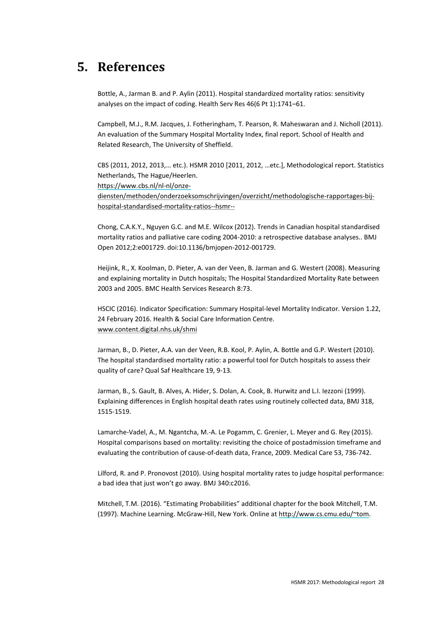# **5. References**

Bottle, A., Jarman B. and P. Aylin (2011). Hospital standardized mortality ratios: sensitivity analyses on the impact of coding. Health Serv Res 46(6 Pt 1):1741–61.

Campbell, M.J., R.M. Jacques, J. Fotheringham, T. Pearson, R. Maheswaran and J. Nicholl (2011). An evaluation of the Summary Hospital Mortality Index, final report. School of Health and Related Research, The University of Sheffield.

CBS (2011, 2012, 2013,… etc.). HSMR 2010 [2011, 2012, …etc.], Methodological report. Statistics Netherlands, The Hague/Heerlen.

https://www.cbs.nl/nl-nl/onze-

diensten/methoden/onderzoeksomschrijvingen/overzicht/methodologische-rapportages-bijhospital-standardised-mortality-ratios--hsmr--

Chong, C.A.K.Y., Nguyen G.C. and M.E. Wilcox (2012). Trends in Canadian hospital standardised mortality ratios and palliative care coding 2004-2010: a retrospective database analyses.. BMJ Open 2012;2:e001729. doi:10.1136/bmjopen-2012-001729.

Heijink, R., X. Koolman, D. Pieter, A. van der Veen, B. Jarman and G. Westert (2008). Measuring and explaining mortality in Dutch hospitals; The Hospital Standardized Mortality Rate between 2003 and 2005. BMC Health Services Research 8:73.

HSCIC (2016). Indicator Specification: Summary Hospital-level Mortality Indicator. Version 1.22, 24 February 2016. Health & Social Care Information Centre. www.content.digital.nhs.uk/shmi

Jarman, B., D. Pieter, A.A. van der Veen, R.B. Kool, P. Aylin, A. Bottle and G.P. Westert (2010). The hospital standardised mortality ratio: a powerful tool for Dutch hospitals to assess their quality of care? Qual Saf Healthcare 19, 9-13.

Jarman, B., S. Gault, B. Alves, A. Hider, S. Dolan, A. Cook, B. Hurwitz and L.I. Iezzoni (1999). Explaining differences in English hospital death rates using routinely collected data, BMJ 318, 1515-1519.

Lamarche-Vadel, A., M. Ngantcha, M.-A. Le Pogamm, C. Grenier, L. Meyer and G. Rey (2015). Hospital comparisons based on mortality: revisiting the choice of postadmission timeframe and evaluating the contribution of cause-of-death data, France, 2009. Medical Care 53, 736-742.

Lilford, R. and P. Pronovost (2010). Using hospital mortality rates to judge hospital performance: a bad idea that just won't go away. BMJ 340:c2016.

Mitchell, T.M. (2016). "Estimating Probabilities" additional chapter for the book Mitchell, T.M. (1997). Machine Learning. McGraw-Hill, New York. Online at http://www.cs.cmu.edu/~tom.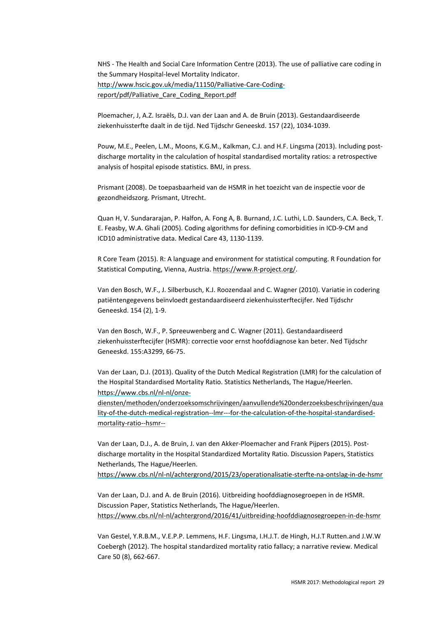NHS - The Health and Social Care Information Centre (2013). The use of palliative care coding in the Summary Hospital-level Mortality Indicator. http://www.hscic.gov.uk/media/11150/Palliative-Care-Codingreport/pdf/Palliative\_Care\_Coding\_Report.pdf

Ploemacher, J, A.Z. Israëls, D.J. van der Laan and A. de Bruin (2013). Gestandaardiseerde ziekenhuissterfte daalt in de tijd. Ned Tijdschr Geneeskd. 157 (22), 1034-1039.

Pouw, M.E., Peelen, L.M., Moons, K.G.M., Kalkman, C.J. and H.F. Lingsma (2013). Including postdischarge mortality in the calculation of hospital standardised mortality ratios: a retrospective analysis of hospital episode statistics. BMJ, in press.

Prismant (2008). De toepasbaarheid van de HSMR in het toezicht van de inspectie voor de gezondheidszorg. Prismant, Utrecht.

Quan H, V. Sundararajan, P. Halfon, A. Fong A, B. Burnand, J.C. Luthi, L.D. Saunders, C.A. Beck, T. E. Feasby, W.A. Ghali (2005). Coding algorithms for defining comorbidities in ICD-9-CM and ICD10 administrative data. Medical Care 43, 1130-1139.

R Core Team (2015). R: A language and environment for statistical computing. R Foundation for Statistical Computing, Vienna, Austria. https://www.R-project.org/.

Van den Bosch, W.F., J. Silberbusch, K.J. Roozendaal and C. Wagner (2010). Variatie in codering patiëntengegevens beïnvloedt gestandaardiseerd ziekenhuissterftecijfer. Ned Tijdschr Geneeskd. 154 (2), 1-9.

Van den Bosch, W.F., P. Spreeuwenberg and C. Wagner (2011). Gestandaardiseerd ziekenhuissterftecijfer (HSMR): correctie voor ernst hoofddiagnose kan beter. Ned Tijdschr Geneeskd. 155:A3299, 66-75.

Van der Laan, D.J. (2013). Quality of the Dutch Medical Registration (LMR) for the calculation of the Hospital Standardised Mortality Ratio. Statistics Netherlands, The Hague/Heerlen. https://www.cbs.nl/nl-nl/onze-

diensten/methoden/onderzoeksomschrijvingen/aanvullende%20onderzoeksbeschrijvingen/qua lity-of-the-dutch-medical-registration--lmr---for-the-calculation-of-the-hospital-standardisedmortality-ratio--hsmr--

Van der Laan, D.J., A. de Bruin, J. van den Akker-Ploemacher and Frank Pijpers (2015). Postdischarge mortality in the Hospital Standardized Mortality Ratio. Discussion Papers, Statistics Netherlands, The Hague/Heerlen.

https://www.cbs.nl/nl-nl/achtergrond/2015/23/operationalisatie-sterfte-na-ontslag-in-de-hsmr

Van der Laan, D.J. and A. de Bruin (2016). Uitbreiding hoofddiagnosegroepen in de HSMR. Discussion Paper, Statistics Netherlands, The Hague/Heerlen. https://www.cbs.nl/nl-nl/achtergrond/2016/41/uitbreiding-hoofddiagnosegroepen-in-de-hsmr

Van Gestel, Y.R.B.M., V.E.P.P. Lemmens, H.F. Lingsma, I.H.J.T. de Hingh, H.J.T Rutten.and J.W.W Coebergh (2012). The hospital standardized mortality ratio fallacy; a narrative review. Medical Care 50 (8), 662-667.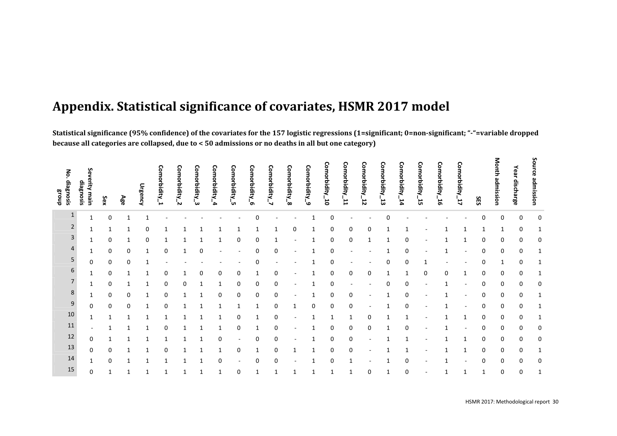# **Appendix. Statistical significance of covariates, HSMR 2017 model**

Statistical significance (95% confidence) of the covariates for the 157 logistic regressions (1=significant; 0=non-significant; "-"=variable dropped **because all categories are collapsed, due to <sup>&</sup>lt; 50 admissions or no deaths in all but one category)**

| Nó.<br>diagnosis<br>dnou3 | Severity main<br>diagnosis | Sex          | Age | Urgency | Comorbidity_1 | Comorbidity_2 | Comorbidity<br>้ผ | Comorbidity_4 | Comorbidity_5 | Comorbidity_6 | Comorbidity_7 | Comorbidity_8 | Comorbidity_9 | Comorbidity.<br>່ວ່ | Comorbidity_11 | Comorbidity_12 | Comorbidity_13 | Comorbidity_14 | Comorbidity_15 | Comorbidity_16 | Comorbidity_17 | SES | Month admission | Year<br>discharge | Source admission |
|---------------------------|----------------------------|--------------|-----|---------|---------------|---------------|-------------------|---------------|---------------|---------------|---------------|---------------|---------------|---------------------|----------------|----------------|----------------|----------------|----------------|----------------|----------------|-----|-----------------|-------------------|------------------|
| $\mathbf{1}$              | 1                          | 0            |     |         |               |               |                   |               |               | C             |               |               |               | 0                   |                |                |                |                |                |                |                | 0   | 0               | $\mathbf 0$       | 0                |
| $\overline{2}$            | 1                          | 1            |     | 0       |               |               | 1                 |               |               |               |               | 0             |               | 0                   | 0              | 0              |                |                |                |                |                |     | 1               | 0                 | 1                |
| 3                         | 1                          | 0            | 1   | 0       |               |               |                   |               | 0             | O             |               |               |               | 0                   | 0              |                |                | 0              |                |                |                | 0   | 0               | 0                 | 0                |
| 4                         | 1                          | 0            | 0   | 1       | 0             |               | 0                 |               |               | O             | 0             | ۰             |               | 0                   |                |                |                | 0              |                |                |                | 0   | 0               | 0                 | 1                |
| 5                         | 0                          | 0            | 0   |         |               |               |                   |               |               |               |               |               |               | 0                   |                |                |                | 0              |                |                |                | 0   | 1               | 0                 | 1                |
| 6                         | 1                          | 0            |     |         |               |               | 0                 | 0             | 0             |               | 0             |               |               | 0                   | 0              | 0              |                | 1              | 0              | 0              | 1              | 0   | 0               | 0                 | 1                |
| $\overline{7}$            | 1                          | 0            |     |         |               | 0             |                   |               | 0             | 0             | 0             |               |               | 0                   |                |                |                | C              |                |                |                | 0   | 0               | 0                 | 0                |
| 8                         | 1                          | 0            | 0   |         |               |               |                   | 0             | 0             | 0             | 0             |               |               | 0                   | 0              |                |                | 0              |                |                |                | 0   | 0               | 0                 | 1                |
| 9                         | 0                          | 0            | 0   |         |               |               |                   |               |               |               | 0             | 1             | 0             | 0                   | $\Omega$       |                |                | 0              |                |                |                | 0   | 0               | 0                 | 1                |
| 10                        | 1                          | $\mathbf{1}$ |     |         |               |               |                   |               | 0             |               | $\mathbf 0$   |               |               | 1                   |                | 0              |                |                |                |                |                | 0   | 0               | 0                 | 1                |
| 11                        | $\overline{\phantom{a}}$   | 1            |     |         |               |               |                   |               | 0             |               | 0             |               |               | 0                   | 0              | 0              |                | $\Omega$       |                |                |                | 0   | 0               | 0                 | 0                |
| 12                        | 0                          | $\mathbf{1}$ |     | 1       |               |               | 1                 | 0             |               |               | 0             |               |               | 0                   | 0              |                |                |                |                |                |                | 0   | 0               | 0                 | 0                |
| 13                        | 0                          | 0            | 1   |         | 0             | 1             | 1                 | 1             | 0             | 1             | 0             | 1             | 1             | 0                   | $\mathbf 0$    |                |                |                |                |                | 1              | 0   | 0               | 0                 | 1                |
| 14                        | 1                          | 0            |     |         |               |               |                   | 0             |               |               | 0             |               |               | 0                   |                |                |                | 0              |                |                |                | 0   | 0               | 0                 | 0                |
| 15                        | 0                          | 1            |     |         |               |               |                   |               | 0             |               |               |               |               | 1                   |                | 0              |                | 0              |                |                |                |     | 0               | 0                 |                  |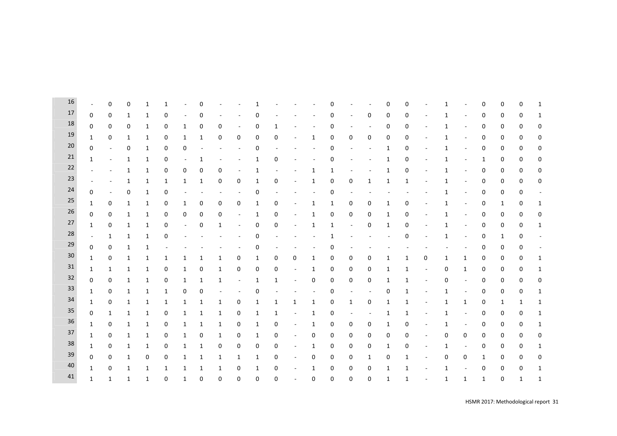| 16     |              | $\Omega$                 | $\mathbf 0$  | 1            | 1            |                          | 0              |             |                          |              |                |                          |                          | ი            |                          |                          | 0                        | $\mathbf 0$              |                          | 1            |                          | 0            | 0            | 0            | 1 |
|--------|--------------|--------------------------|--------------|--------------|--------------|--------------------------|----------------|-------------|--------------------------|--------------|----------------|--------------------------|--------------------------|--------------|--------------------------|--------------------------|--------------------------|--------------------------|--------------------------|--------------|--------------------------|--------------|--------------|--------------|---|
| 17     | $\mathbf 0$  | 0                        | 1            | 1            | 0            | ä,                       | 0              |             |                          | 0            |                |                          |                          | 0            | $\overline{\phantom{a}}$ | 0                        | 0                        | 0                        | $\overline{\phantom{a}}$ | 1            | $\overline{\phantom{a}}$ | 0            | 0            | 0            | 1 |
| 18     | 0            | 0                        | 0            | 1            | 0            | 1                        | 0              | 0           | $\overline{\phantom{a}}$ | 0            | $\mathbf{1}$   |                          |                          | 0            |                          | $\overline{\phantom{a}}$ | 0                        | 0                        |                          | 1            | ÷,                       | 0            | 0            | 0            | 0 |
| 19     | 1            | $\Omega$                 | 1            | 1            | 0            | 1                        | $\mathbf{1}$   | 0           | 0                        | 0            | 0              | $\sim$                   | $\mathbf{1}$             | 0            | 0                        | 0                        | 0                        | 0                        | $\overline{\phantom{a}}$ | 1            | $\overline{\phantom{a}}$ | 0            | 0            | 0            | 0 |
| 20     | $\mathbf 0$  | $\overline{\phantom{a}}$ | $\mathbf 0$  | 1            | 0            | 0                        |                |             | $\overline{\phantom{a}}$ | 0            | $\overline{a}$ |                          |                          | 0            |                          |                          | 1                        | 0                        | $\overline{\phantom{a}}$ | 1            | $\overline{\phantom{a}}$ | 0            | 0            | 0            | 0 |
| 21     | 1            | $\overline{\phantom{a}}$ | 1            | 1            | 0            | $\overline{\phantom{a}}$ | 1              |             |                          | 1            | 0              |                          |                          | 0            |                          |                          | 1                        | 0                        |                          | 1            | $\overline{\phantom{a}}$ | 1            | 0            | 0            | 0 |
| $22\,$ |              | $\overline{\phantom{a}}$ | 1            | 1            | 0            | 0                        | 0              | 0           | $\overline{\phantom{a}}$ | 1            | ÷,             |                          | 1                        | 1            |                          |                          | 1                        | $\mathbf 0$              |                          | 1            | $\overline{\phantom{a}}$ | 0            | 0            | 0            | 0 |
| 23     |              | ÷,                       | 1            | 1            | $\mathbf{1}$ | 1                        | 1              | 0           | 0                        | 1            | 0              | $\sim$                   | 1                        | 0            | 0                        | 1                        | 1                        | 1                        | $\sim$                   | 1            | $\bar{a}$                | 0            | 0            | 0            | 0 |
| 24     | 0            | $\overline{\phantom{a}}$ | 0            | 1            | 0            | ٠                        | $\overline{a}$ |             | $\blacksquare$           | 0            | ÷,             |                          | ÷,                       | 0            | ÷,                       |                          | $\overline{\phantom{a}}$ | $\overline{\phantom{a}}$ | $\overline{\phantom{a}}$ | 1            | $\frac{1}{2}$            | 0            | 0            | 0            |   |
| $25\,$ | 1            | 0                        | 1            | 1            | 0            | $\mathbf{1}$             | 0              | 0           | 0                        | $\mathbf{1}$ | 0              | $\overline{\phantom{a}}$ | 1                        | $\mathbf{1}$ | 0                        | 0                        | $\mathbf 1$              | 0                        | $\overline{\phantom{a}}$ | 1            | $\frac{1}{2}$            | 0            | $\mathbf{1}$ | 0            | 1 |
| 26     | 0            | 0                        | 1            | 1            | 0            | 0                        | 0              | 0           | $\blacksquare$           | 1            | 0              | $\blacksquare$           | $\mathbf{1}$             | 0            | 0                        | 0                        | 1                        | 0                        | $\sim$                   | 1            | $\bar{a}$                | 0            | 0            | 0            | 0 |
| 27     | 1            | 0                        | 1            | 1            | 0            | $\overline{\phantom{a}}$ | 0              | 1           | $\overline{\phantom{a}}$ | 0            | 0              | $\overline{\phantom{a}}$ | 1                        | 1            | ٠                        | 0                        | 1                        | 0                        |                          | 1            | $\overline{\phantom{a}}$ | 0            | 0            | 0            | 1 |
| 28     | ÷.           | $\mathbf{1}$             | 1            | 1            | 0            |                          |                |             |                          | 0            |                |                          |                          | 1            |                          |                          | $\overline{\phantom{a}}$ | 0                        | $\overline{\phantom{a}}$ | 1            | $\overline{\phantom{a}}$ | 0            | 1            | 0            |   |
| 29     | 0            | 0                        | 1            | 1            |              |                          |                |             |                          | 0            |                |                          |                          | 0            |                          |                          |                          |                          |                          |              |                          | 0            | 0            | 0            |   |
| $30\,$ | 1            | 0                        | 1            | 1            | $\mathbf{1}$ | 1                        | 1              | 1           | 0                        | 1            | 0              | 0                        | 1                        | 0            | 0                        | 0                        | 1                        | 1                        | 0                        | 1            | $\mathbf{1}$             | 0            | 0            | 0            | 1 |
| 31     | 1            | 1                        | 1            | 1            | 0            | 1                        | 0              | 1           | 0                        | 0            | 0              | $\blacksquare$           | 1                        | 0            | 0                        | 0                        | 1                        | $\mathbf{1}$             | $\blacksquare$           | 0            | $\mathbf{1}$             | 0            | 0            | 0            | 1 |
| 32     | 0            | 0                        | $1\,$        | 1            | 0            | $\mathbf{1}$             | 1              | 1           | $\blacksquare$           | $\mathbf{1}$ | $\mathbf{1}$   | $\sim$                   | 0                        | 0            | 0                        | 0                        | 1                        | $\mathbf{1}$             | $\sim$                   | 0            | $\blacksquare$           | 0            | 0            | 0            | 0 |
| 33     | 1            | 0                        | 1            | 1            | $\mathbf{1}$ | 0                        | 0              |             | $\overline{\phantom{a}}$ | 0            | $\overline{a}$ |                          | $\overline{\phantom{a}}$ | 0            | $\overline{\phantom{a}}$ | $\overline{\phantom{a}}$ | 0                        | $\mathbf{1}$             | $\overline{\phantom{a}}$ | 1            | $\overline{\phantom{a}}$ | 0            | 0            | 0            | 1 |
| 34     | 1            | 0                        | 1            | 1            | $\mathbf{1}$ | $\mathbf{1}$             | 1              | 1           | 0                        | $\mathbf{1}$ | $\mathbf{1}$   | $\mathbf{1}$             | $\mathbf{1}$             | 0            | $\mathbf{1}$             | 0                        | 1                        | 1                        | $\overline{\phantom{a}}$ | 1            | $\mathbf{1}$             | 0            | 1            | 1            | 1 |
| 35     | 0            | 1                        | 1            | 1            | 0            | 1                        | 1              | 1           | 0                        | 1            | 1              | $\blacksquare$           | 1                        | 0            | ٠                        | $\overline{\phantom{a}}$ | 1                        | 1                        |                          | 1            | $\frac{1}{2}$            | 0            | 0            | 0            | 1 |
| 36     | 1            | 0                        | 1            | 1            | 0            | 1                        | 1              | 1           | 0                        | 1            | 0              | $\blacksquare$           | 1                        | 0            | 0                        | 0                        | 1                        | 0                        | $\overline{\phantom{a}}$ | 1            | $\frac{1}{2}$            | 0            | 0            | 0            | 1 |
| 37     | 1            | 0                        | 1            | 1            | 0            | 1                        | 0              | 1           | 0                        | 1            | 0              | $\blacksquare$           | 0                        | 0            | 0                        | 0                        | 0                        | 0                        | $\blacksquare$           | 0            | 0                        | 0            | 0            | 0            | 0 |
| 38     | 1            | 0                        | 1            | 1            | 0            | 1                        | $\mathbf{1}$   | 0           | 0                        | 0            | 0              | $\blacksquare$           | 1                        | 0            | 0                        | 0                        | 1                        | 0                        | $\overline{\phantom{a}}$ | 1            | $\overline{\phantom{a}}$ | 0            | 0            | 0            | 1 |
| 39     | 0            | 0                        | 1            | 0            | 0            | 1                        | 1              | 1           | 1                        | 1            | 0              | $\overline{\phantom{a}}$ | 0                        | 0            | 0                        | 1                        | 0                        | 1                        | $\sim$                   | 0            | 0                        | 1            | 0            | 0            | 0 |
| 40     | 1            | 0                        | 1            | 1            | $\mathbf{1}$ | 1                        | 1              | 1           | 0                        | $\mathbf{1}$ | 0              | $\sim$                   | 1                        | 0            | 0                        | 0                        | 1                        | $\mathbf{1}$             | $\sim$                   | 1            | $\overline{\phantom{a}}$ | 0            | 0            | 0            | 1 |
| 41     | $\mathbf{1}$ | $\mathbf{1}$             | $\mathbf{1}$ | $\mathbf{1}$ | $\mathbf 0$  | $\mathbf{1}$             | $\mathbf 0$    | $\mathbf 0$ | $\mathbf 0$              | $\mathbf 0$  | $\mathbf 0$    | $\sim$                   | $\mathbf 0$              | 0            | 0                        | $\mathbf 0$              | $\mathbf{1}$             | $\mathbf{1}$             | $\overline{\phantom{a}}$ | $\mathbf{1}$ | $\mathbf{1}$             | $\mathbf{1}$ | $\mathbf 0$  | $\mathbf{1}$ | 1 |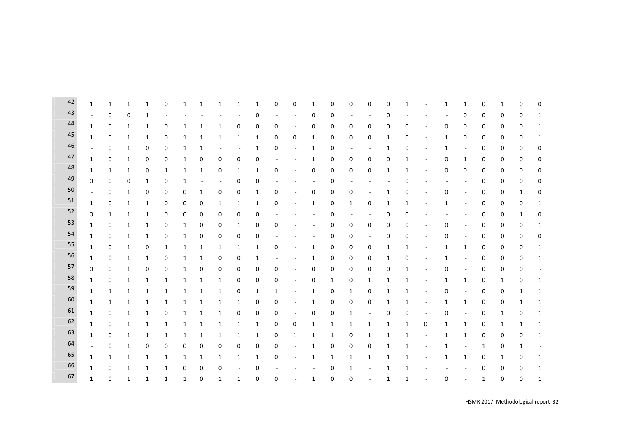| 42 | $\mathbf{1}$ | 1            | 1            | 1            | 0            | 1            | 1            | 1                        | 1                        | $\mathbf{1}$ | 0                        | 0                        | 1            | 0            | 0                        | 0                        | 0            | 1            |                          | $\mathbf{1}$   | 1                        | 0            | 1            | 0            | 0            |
|----|--------------|--------------|--------------|--------------|--------------|--------------|--------------|--------------------------|--------------------------|--------------|--------------------------|--------------------------|--------------|--------------|--------------------------|--------------------------|--------------|--------------|--------------------------|----------------|--------------------------|--------------|--------------|--------------|--------------|
| 43 | $\sim$       | $\Omega$     | 0            | 1            |              |              |              |                          |                          | 0            | $\sim$                   | $\overline{\phantom{a}}$ | 0            | 0            |                          | $\sim$                   | 0            | ÷,           |                          | $\blacksquare$ | 0                        | 0            | 0            | 0            | 1            |
| 44 | $\mathbf{1}$ | 0            | 1            | 1            | 0            | $\mathbf{1}$ | 1            | $\mathbf{1}$             | 0                        | 0            | 0                        | $\overline{\phantom{a}}$ | 0            | 0            | 0                        | 0                        | 0            | 0            | $\overline{\phantom{a}}$ | $\mathbf 0$    | 0                        | 0            | 0            | 0            | 1            |
| 45 | $\mathbf{1}$ | 0            | $\mathbf{1}$ | $\mathbf{1}$ | 0            | $\mathbf{1}$ | $\mathbf{1}$ | $\mathbf{1}$             | $\mathbf{1}$             | $\mathbf{1}$ | 0                        | 0                        | $\mathbf{1}$ | 0            | 0                        | 0                        | $\mathbf{1}$ | 0            | $\sim$                   | $\mathbf{1}$   | 0                        | 0            | 0            | 0            | 1            |
| 46 | $\bar{a}$    | $\mathbf 0$  | 1            | 0            | 0            | $\mathbf{1}$ | 1            | $\overline{a}$           | $\overline{\phantom{a}}$ | $\mathbf{1}$ | 0                        | $\overline{\phantom{a}}$ | 1            | 0            | $\overline{\phantom{a}}$ | $\overline{\phantom{a}}$ | 1            | 0            | $\overline{\phantom{a}}$ | $\mathbf{1}$   | $\overline{\phantom{a}}$ | 0            | 0            | 0            | 0            |
| 47 | $\mathbf{1}$ | $\mathbf 0$  | $\mathbf{1}$ | 0            | 0            | $\mathbf{1}$ | 0            | $\mathbf 0$              | 0                        | 0            | $\blacksquare$           | $\overline{\phantom{a}}$ | $\mathbf{1}$ | 0            | 0                        | $\mathbf 0$              | 0            | $\mathbf{1}$ | $\overline{\phantom{a}}$ | 0              | $\mathbf{1}$             | 0            | 0            | 0            | 0            |
| 48 | 1            | $\mathbf{1}$ | 1            | $\pmb{0}$    | $\mathbf{1}$ | $\mathbf{1}$ | $\mathbf{1}$ | $\boldsymbol{0}$         | 1                        | $\mathbf{1}$ | 0                        | $\overline{\phantom{a}}$ | 0            | 0            | 0                        | 0                        | $\mathbf{1}$ | 1            | $\overline{a}$           | 0              | 0                        | 0            | 0            | 0            | 0            |
| 49 | $\mathbf 0$  | $\Omega$     | 0            | $\mathbf{1}$ | 0            | $\mathbf{1}$ | L,           | $\overline{\phantom{a}}$ | 0                        | 0            | $\overline{a}$           |                          | $\sim$       | 0            |                          |                          |              | $\mathbf 0$  |                          | $\blacksquare$ | $\overline{\phantom{a}}$ | 0            | 0            | 0            | 0            |
| 50 | $\bar{a}$    | $\Omega$     | 1            | 0            | 0            | 0            | $\mathbf{1}$ | 0                        | 0                        | $\mathbf{1}$ | 0                        | ÷,                       | 0            | 0            | 0                        |                          | $\mathbf{1}$ | 0            |                          | 0              | ÷,                       | 0            | 0            | 1            | 0            |
| 51 | $\mathbf{1}$ | $\mathbf 0$  | 1            | $\mathbf{1}$ | 0            | $\mathbf 0$  | $\mathbf 0$  | 1                        | 1                        | $\mathbf{1}$ | 0                        | $\sim$                   | 1            | 0            | 1                        | 0                        | 1            | 1            | $\overline{\phantom{a}}$ | $\mathbf{1}$   | $\overline{\phantom{a}}$ | 0            | 0            | 0            | 1            |
| 52 | 0            | $\mathbf{1}$ | $1\,$        | $\mathbf{1}$ | 0            | $\mathbf 0$  | 0            | 0                        | 0                        | 0            |                          |                          |              | 0            |                          | $\sim$                   | 0            | 0            |                          |                | $\sim$                   | 0            | 0            | $\mathbf{1}$ | 0            |
| 53 | $\mathbf{1}$ | 0            | $\mathbf{1}$ | $\mathbf{1}$ | 0            | $\mathbf{1}$ | 0            |                          | $\mathbf{1}$             |              | 0                        |                          |              |              | 0                        |                          | 0            | 0            |                          | $\mathbf 0$    | ÷,                       | $\mathbf 0$  |              | 0            |              |
| 54 |              |              |              |              |              |              |              | 0                        |                          | 0            |                          |                          |              | 0            |                          | $\pmb{0}$                |              |              | $\overline{a}$           |                |                          |              | 0            |              | $\mathbf{1}$ |
| 55 | 1            | $\mathbf 0$  | 1            | 1            | 0            | $\mathbf{1}$ | 0            | 0                        | 0                        | 0            | $\overline{\phantom{a}}$ |                          | $\sim$       | 0            | 0                        | $\blacksquare$           | 0            | 0            | $\overline{\phantom{a}}$ | 0              | $\overline{\phantom{a}}$ | 0            | 0            | 0            | 0            |
| 56 | 1            | $\mathbf 0$  | 1            | 0            | $\mathbf{1}$ | $\mathbf{1}$ | 1            | 1                        | 1                        | $\mathbf{1}$ | 0                        | ÷,                       | $\mathbf{1}$ | 0            | 0                        | 0                        | $\mathbf{1}$ | 1            |                          | $\mathbf{1}$   | $\mathbf{1}$             | 0            | 0            | 0            | 1            |
| 57 | 1            | $\mathbf 0$  | $\mathbf{1}$ | $\mathbf{1}$ | 0            | $\mathbf{1}$ | $\mathbf{1}$ | $\mathbf 0$              | 0                        | $\mathbf{1}$ | $\overline{\phantom{a}}$ | $\overline{\phantom{a}}$ | $\mathbf{1}$ | 0            | 0                        | 0                        | 1            | 0            | $\overline{\phantom{a}}$ | $\mathbf{1}$   | $\blacksquare$           | 0            | 0            | 0            | 1            |
| 58 | $\mathbf 0$  | 0            | 1            | 0            | 0            | $\mathbf{1}$ | 0            | $\mathbf 0$              | 0                        | 0            | 0                        | $\bar{a}$                | 0            | 0            | 0                        | 0                        | 0            | $\mathbf{1}$ |                          | 0              | $\overline{\phantom{a}}$ | 0            | 0            | 0            |              |
| 59 | 1            | $\mathbf 0$  | 1            | 1            | 1            | 1            | 1            | 1                        | 0                        | 0            | 0                        | $\overline{\phantom{a}}$ | 0            | $\mathbf{1}$ | 0                        | 1                        | 1            | 1            | $\overline{\phantom{a}}$ | $\mathbf{1}$   | $\mathbf{1}$             | 0            | $\mathbf{1}$ | 0            | 1            |
| 60 | $\mathbf{1}$ | $\mathbf{1}$ | 1            | $\mathbf{1}$ | $\mathbf{1}$ | $\mathbf{1}$ | $\mathbf{1}$ | 1                        | 0                        | $\mathbf{1}$ | $\mathbf{1}$             | $\overline{\phantom{a}}$ | 1            | 0            | 1                        | 0                        | 1            | 1            | $\overline{\phantom{a}}$ | 0              | $\overline{\phantom{a}}$ | 0            | 0            | 1            | 1            |
| 61 | $\mathbf{1}$ | $\mathbf{1}$ | $\mathbf{1}$ | $\mathbf{1}$ | $\mathbf{1}$ | $\mathbf{1}$ | $\mathbf{1}$ | $\mathbf{1}$             | $\mathbf{1}$             | 0            | 0                        | $\overline{\phantom{a}}$ | $\mathbf{1}$ | 0            | 0                        | $\pmb{0}$                | 1            | $\mathbf{1}$ | $\overline{\phantom{a}}$ | $\mathbf{1}$   | $\mathbf{1}$             | $\pmb{0}$    | 0            | $\mathbf{1}$ | 1            |
| 62 | $\mathbf{1}$ | $\mathbf 0$  | $\mathbf{1}$ | $\mathbf{1}$ | 0            | $\mathbf{1}$ | $\mathbf{1}$ | $\mathbf{1}$             | 0                        | 0            | 0                        | $\overline{\phantom{a}}$ | 0            | 0            | $\mathbf{1}$             | $\blacksquare$           | 0            | 0            | $\overline{\phantom{a}}$ | 0              | $\overline{\phantom{a}}$ | 0            | $\mathbf{1}$ | 0            | 1            |
| 63 | 1            | 0            | 1            | 1            | 1            | 1            | 1            | 1                        | 1                        | $\mathbf{1}$ | 0                        | 0                        | 1            | $\mathbf{1}$ | 1                        | $\mathbf{1}$             | 1            | $\mathbf{1}$ | 0                        | $\mathbf{1}$   | $\mathbf{1}$             | 0            | $\mathbf{1}$ | $\mathbf{1}$ | 1            |
|    | 1            | $\mathbf 0$  | 1            | 1            | $\mathbf{1}$ | $\mathbf{1}$ | $\mathbf{1}$ | 1                        | 1                        | $\mathbf{1}$ | 0                        | $\mathbf{1}$             | $\mathbf{1}$ | 1            | 0                        | 1                        | 1            | 1            | $\overline{\phantom{a}}$ | $\mathbf{1}$   | $\mathbf{1}$             | $\mathbf 0$  | 0            | 0            | 1            |
| 64 | $\sim$       | $\mathbf 0$  | 1            | 0            | 0            | 0            | 0            | 0                        | 0                        | 0            | 0                        | $\overline{\phantom{a}}$ | 1            | 0            | 0                        | 0                        | 1            | 1            | ÷,                       | 1              | $\overline{\phantom{a}}$ | 1            | 0            | 1            |              |
| 65 | $\mathbf{1}$ | $\mathbf{1}$ | 1            | $\mathbf{1}$ | 1            | 1            | 1            | 1                        | 1                        | $\mathbf{1}$ | 0                        | $\sim$                   | 1            | $\mathbf{1}$ | 1                        | 1                        | 1            | 1            | $\overline{\phantom{a}}$ | $\mathbf{1}$   | $\mathbf{1}$             | 0            | 1            | 0            | 1            |
| 66 | $\mathbf{1}$ | 0            | $\mathbf{1}$ | 1            | $\mathbf{1}$ | $\mathbf 0$  | 0            | 0                        | $\overline{\phantom{a}}$ | 0            |                          |                          |              | 0            | 1                        | $\overline{\phantom{a}}$ | 1            | 1            |                          |                | ÷,                       | 0            | 0            | 0            | 1            |
| 67 | $\mathbf{1}$ | 0            | $\mathbf{1}$ | $\mathbf{1}$ | $\mathbf{1}$ | $\mathbf{1}$ | $\mathbf 0$  | $\mathbf{1}$             | $\mathbf{1}$             | $\mathbf 0$  | $\mathbf 0$              | $\blacksquare$           | 1            | $\mathbf 0$  | 0                        | $\overline{\phantom{a}}$ | $\mathbf{1}$ | 1            | $\overline{\phantom{a}}$ | $\mathbf 0$    | ÷,                       | $\mathbf{1}$ | 0            | 0            | 1            |

**COL**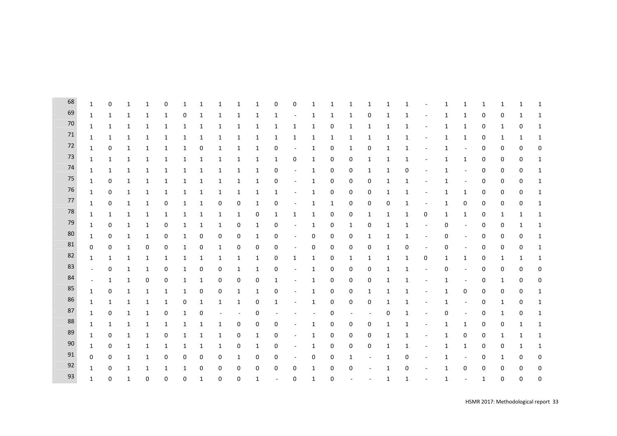| 68     | $\mathbf{1}$ | 0                | 1            | 1            | 0            | 1            | 1            | 1                        | 1                        | 1            | 0            | 0                        | 1            | 1            | 1                        | 1                        | 1            | 1           |                          | 1 | 1                        | 1            | 1 | 1        | 1            |
|--------|--------------|------------------|--------------|--------------|--------------|--------------|--------------|--------------------------|--------------------------|--------------|--------------|--------------------------|--------------|--------------|--------------------------|--------------------------|--------------|-------------|--------------------------|---|--------------------------|--------------|---|----------|--------------|
| 69     | 1            | 1                | 1            | 1            | 1            | 0            | 1            | 1                        | 1                        | 1            | 1            |                          | 1            | 1            | 1                        | 0                        | 1            | 1           |                          | 1 | 1                        | 0            | 0 | 1        | 1            |
| 70     | 1            | 1                | 1            | 1            | 1            | 1            | 1            | 1                        | 1                        | 1            | 1            | 1                        | 1            | 0            | 1                        | 1                        | 1            | 1           |                          | 1 | $\mathbf{1}$             | 0            | 1 | 0        | 1            |
| 71     | 1            | 1                | $\mathbf{1}$ | 1            | 1            | 1            | 1            | 1                        | 1                        | 1            | 1            | 1                        | $\mathbf{1}$ | $\mathbf{1}$ | 1                        | 1                        | 1            | 1           |                          | 1 | $\mathbf{1}$             | 0            | 1 | 1        | 1            |
| 72     | $\mathbf{1}$ | $\mathbf 0$      | 1            | 1            | 1            | 1            | 0            | 1                        | $\mathbf{1}$             | 1            | 0            | $\overline{\phantom{a}}$ | $\mathbf{1}$ | 0            | 1                        | 0                        | 1            | 1           | $\overline{\phantom{a}}$ | 1 | $\overline{\phantom{a}}$ | 0            | 0 | 0        | 0            |
| 73     | 1            | 1                | 1            | $\mathbf{1}$ | $\mathbf{1}$ | 1            | 1            | $\mathbf{1}$             | $\mathbf{1}$             | $\mathbf{1}$ | $\mathbf{1}$ | $\boldsymbol{0}$         | $\mathbf{1}$ | 0            | 0                        | $\mathbf{1}$             | 1            | 1           | $\overline{\phantom{a}}$ | 1 | $\mathbf{1}$             | 0            | 0 | 0        | $\mathbf{1}$ |
| 74     | $\mathbf{1}$ | 1                | 1            | $\mathbf{1}$ | 1            | 1            | 1            | 1                        | 1                        | $\mathbf{1}$ | 0            | $\overline{a}$           | $\mathbf{1}$ | 0            | 0                        | 1                        | $\mathbf{1}$ | 0           | $\overline{\phantom{a}}$ | 1 | $\overline{\phantom{a}}$ | 0            | 0 | 0        | 1            |
| $75\,$ | $\mathbf{1}$ | 0                | 1            | 1            | 1            | 1            | 1            | 1                        | 1                        | 1            | 0            | $\overline{a}$           | 1            | 0            | 0                        | 0                        | $\mathbf 1$  | 1           |                          | 1 | $\overline{\phantom{a}}$ | 0            | 0 | 0        | 1            |
| 76     | 1            | 0                | 1            | 1            | 1            | 1            | 1            | 1                        | 1                        | 1            | 1            |                          | 1            | 0            | 0                        | 0                        | 1            | 1           |                          | 1 | 1                        | 0            | 0 | 0        | 1            |
| 77     | $\mathbf{1}$ | 0                | 1            | 1            | 0            | 1            | 1            | 0                        | 0                        | 1            | 0            |                          | 1            | $\mathbf{1}$ | 0                        | 0                        | 0            | 1           | $\overline{\phantom{a}}$ | 1 | 0                        | 0            | 0 | 0        | 1            |
| 78     | 1            | 1                | 1            | 1            | 1            | 1            | 1            | 1                        | 1                        | 0            | 1            | 1                        | 1            | 0            | $\mathbf 0$              | 1                        | 1            | 1           | 0                        | 1 | $\mathbf{1}$             | 0            | 1 | 1        | 1            |
| 79     | 1            | $\boldsymbol{0}$ | $\mathbf{1}$ | 1            | 0            | 1            | 1            | $\mathbf{1}$             | 0                        | 1            | 0            | $\overline{\phantom{a}}$ | $\mathbf{1}$ | 0            | 1                        | 0                        | 1            | 1           | $\sim$                   | 0 | $\overline{\phantom{a}}$ | 0            | 0 | 1        | $\mathbf{1}$ |
| $80\,$ | 1            | $\mathbf 0$      | 1            | $\mathbf{1}$ | 0            | 1            | 0            | 0                        | 0                        | 1            | 0            | $\overline{\phantom{a}}$ | 0            | 0            | 0                        | 1                        | 1            | 1           | $\overline{\phantom{a}}$ | 0 | $\overline{\phantom{a}}$ | 0            | 0 | 0        | $\mathbf{1}$ |
| 81     | 0            | 0                | 1            | 0            | 0            | 1            | 0            | 1                        | 0                        | 0            | 0            | $\overline{a}$           | 0            | 0            | 0                        | 0                        | 1            | 0           | $\overline{\phantom{a}}$ | 0 | $\overline{\phantom{a}}$ | 0            | 0 | 0        | 1            |
| 82     | 1            | 1                | 1            | 1            | $\mathbf{1}$ | 1            | 1            | 1                        | 1                        | 1            | 0            | 1                        | $\mathbf{1}$ | 0            | 1                        | 1                        | 1            | 1           | 0                        | 1 | $\mathbf{1}$             | 0            | 1 | 1        | 1            |
| 83     | $\sim$       | $\mathbf 0$      | 1            | 1            | 0            | 1            | 0            | 0                        | 1                        | 1            | 0            | $\overline{a}$           | 1            | 0            | 0                        | 0                        | 1            | 1           | $\overline{\phantom{a}}$ | 0 | $\overline{\phantom{a}}$ | 0            | 0 | 0        | 0            |
| 84     | ÷,           | 1                | 1            | 0            | 0            | 1            | 1            | 0                        | 0                        | 0            | 1            |                          | 1            | 0            | 0                        | 0                        | $\mathbf{1}$ | 1           | $\sim$                   | 1 | $\overline{\phantom{a}}$ | 0            | 1 | 0        | 0            |
| 85     | $\mathbf{1}$ | 0                | 1            | 1            | 1            | 1            | 0            | 0                        | 1                        | 1            | 0            |                          | 1            | 0            | 0                        | 1                        | 1            | 1           |                          | 1 | 0                        | 0            | 0 | 0        | 1            |
| 86     | 1            | $\mathbf{1}$     | 1            | $\mathbf{1}$ | $\mathbf{1}$ | 0            | 1            | 1                        | $\mathbf{1}$             | 0            | 1            | $\overline{\phantom{a}}$ | $\mathbf{1}$ | 0            | 0                        | 0                        | 1            | 1           |                          | 1 | $\sim$                   | 0            | 1 | 0        | $\mathbf{1}$ |
| 87     | $\mathbf{1}$ | 0                | 1            | $\mathbf{1}$ | 0            | 1            | 0            | $\overline{\phantom{a}}$ | $\overline{\phantom{a}}$ | 0            |              |                          | $\sim$       | 0            | $\overline{\phantom{a}}$ | $\overline{\phantom{a}}$ | 0            | 1           | $\overline{\phantom{a}}$ | 0 | $\overline{\phantom{a}}$ | 0            | 1 | 0        | 1            |
| 88     | 1            | 1                | 1            | $\mathbf{1}$ | $\mathbf{1}$ | 1            | 1            | 1                        | 0                        | 0            | 0            |                          | 1            | 0            | 0                        | 0                        | 1            | 1           | $\overline{\phantom{a}}$ | 1 | $\mathbf{1}$             | 0            | 0 | 1        | 1            |
| 89     | 1            | 0                | 1            | 1            | 0            | 1            | 1            | 1                        | 0                        | 1            | 0            | $\overline{a}$           | 1            | 0            | 0                        | 0                        | 1            | 1           |                          | 1 | 0                        | 0            | 1 | 1        | 1            |
| 90     | $\mathbf{1}$ | 0                | 1            | 1            | 1            | 1            | 1            | 1                        | 0                        | 1            | 0            | ۰                        | 1            | 0            | 0                        | 0                        | 1            | 1           |                          | 1 | $\mathbf{1}$             | 0            | 0 | 1        | 1            |
| 91     | $\mathbf 0$  | 0                | 1            | $\mathbf{1}$ | 0            | 0            | 0            | 0                        | $\mathbf{1}$             | 0            | 0            | $\overline{\phantom{a}}$ | 0            | 0            | 1                        |                          | 1            | 0           | $\blacksquare$           | 1 | $\overline{\phantom{a}}$ | $\mathbf 0$  | 1 | 0        | 0            |
| 92     | $\mathbf{1}$ | $\mathbf 0$      | $\mathbf{1}$ | $\mathbf{1}$ | 1            | $\mathbf{1}$ | 0            | 0                        | 0                        | 0            | 0            | 0                        | $\mathbf{1}$ | 0            | $\mathbf 0$              |                          | $\mathbf{1}$ | $\mathbf 0$ | $\overline{\phantom{a}}$ | 1 | 0                        | 0            | 0 | 0        | 0            |
| 93     | $\mathbf{1}$ | $\mathbf 0$      | $\mathbf{1}$ | $\Omega$     | $\mathbf 0$  | 0            | $\mathbf{1}$ | 0                        | $\mathbf 0$              | 1            | ä,           | $\mathbf 0$              | $\mathbf{1}$ | 0            |                          | $\sim$                   | $\mathbf{1}$ | 1           | $\bar{a}$                | 1 | $\sim$                   | $\mathbf{1}$ | 0 | $\Omega$ | 0            |
|        |              |                  |              |              |              |              |              |                          |                          |              |              |                          |              |              |                          |                          |              |             |                          |   |                          |              |   |          |              |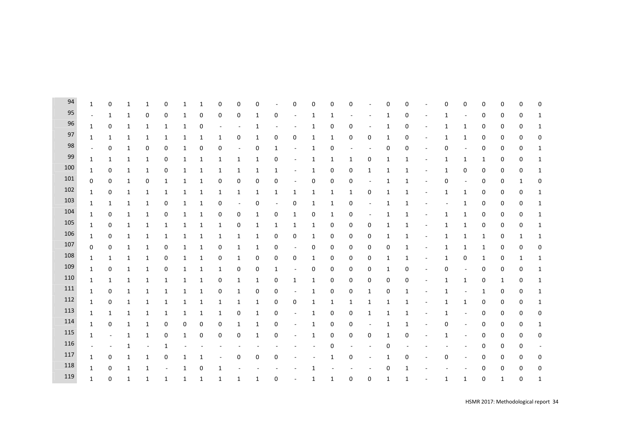| 94  | $\mathbf{1}$             | 0            | 1            | 1            | 0            | 1            | 1            | 0            | 0                        | 0 |             | 0            | 0            | 0            | 0            |                          | 0            | 0                |                          | 0           | 0                        | 0            | 0                | 0 | $\mathbf 0$      |
|-----|--------------------------|--------------|--------------|--------------|--------------|--------------|--------------|--------------|--------------------------|---|-------------|--------------|--------------|--------------|--------------|--------------------------|--------------|------------------|--------------------------|-------------|--------------------------|--------------|------------------|---|------------------|
| 95  | $\overline{\phantom{a}}$ | 1            | 1            | 0            | 0            | 1            | 0            | 0            | 0                        | 1 | 0           |              | 1            | 1            |              |                          | 1            | 0                |                          | 1           |                          | 0            | 0                | 0 | 1                |
| 96  | $\mathbf{1}$             | 0            | 1            | 1            | 1            | 1            | 0            |              |                          | 1 |             |              | 1            | 0            | 0            |                          | 1            | 0                |                          | 1           | 1                        | 0            | 0                | 0 | 1                |
| 97  | $\mathbf{1}$             | $\mathbf{1}$ | 1            | $\mathbf{1}$ | $\mathbf{1}$ | 1            | 1            | $\mathbf{1}$ | 0                        | 1 | 0           | 0            | 1            | $\mathbf{1}$ | 0            | 0                        | $\mathbf{1}$ | $\boldsymbol{0}$ | $\blacksquare$           | 1           | $\mathbf{1}$             | 0            | 0                | 0 | $\boldsymbol{0}$ |
| 98  | $\overline{\phantom{a}}$ | 0            | 1            | 0            | 0            | 1            | 0            | 0            | $\overline{\phantom{a}}$ | 0 | 1           |              | 1            | 0            |              | ÷,                       | 0            | 0                | $\overline{a}$           | $\mathbf 0$ | $\overline{\phantom{a}}$ | 0            | $\boldsymbol{0}$ | 0 | 1                |
| 99  | $\mathbf{1}$             | $\mathbf{1}$ | 1            | 1            | 0            | $\mathbf{1}$ | 1            | $\mathbf{1}$ | $\mathbf{1}$             | 1 | 0           |              | 1            | 1            | $\mathbf{1}$ | 0                        | 1            | 1                | ۰                        | 1           | $\mathbf{1}$             | 1            | 0                | 0 | $\mathbf{1}$     |
| 100 | $\mathbf{1}$             | 0            | 1            | 1            | 0            | 1            | 1            | $\mathbf{1}$ | 1                        | 1 | 1           |              | 1            | 0            | 0            | 1                        | 1            | 1                |                          | 1           | 0                        | 0            | 0                | 0 | 1                |
| 101 | $\mathbf 0$              | 0            | 1            | 0            | $\mathbf{1}$ | $\mathbf{1}$ | 1            | 0            | 0                        | 0 | 0           |              | 0            | 0            | 0            | $\overline{\phantom{m}}$ | 1            | 1                |                          | $\mathbf 0$ | $\overline{\phantom{a}}$ | 0            | 0                | 1 | 0                |
| 102 | 1                        | 0            | 1            | 1            | 1            | 1            | 1            | 1            | 1                        | 1 | 1           | 1            | 1            | 1            | $\mathbf{1}$ | 0                        | 1            | 1                |                          | 1           | 1                        | 0            | 0                | 0 | 1                |
| 103 | $\mathbf{1}$             | 1            | 1            | 1            | 0            | 1            | 1            | 0            | $\sim$                   | 0 | ÷,          | 0            | 1            | 1            | 0            | ÷,                       | 1            | 1                |                          |             | 1                        | 0            | 0                | 0 | 1                |
| 104 | $\mathbf{1}$             | 0            | 1            | $1\,$        | 0            | 1            | 1            | 0            | 0                        | 1 | 0           | $\mathbf{1}$ | 0            | 1            | 0            | ٠                        |              | $\mathbf{1}$     |                          | 1           | 1                        | 0            | 0                | 0 | 1                |
| 105 | $\mathbf{1}$             | 0            | 1            | $\mathbf{1}$ | $\mathbf{1}$ | 1            | 1            | $\mathbf{1}$ | 0                        | 1 | 1           | $\mathbf{1}$ | 1            | 0            | 0            | 0                        | 1            | 1                | $\overline{\phantom{a}}$ | 1           | $\mathbf{1}$             | 0            | 0                | 0 | 1                |
| 106 | $\mathbf{1}$             | 0            | 1            | 1            | 1            | 1            | 1            | $\mathbf{1}$ | 1                        | 1 | 0           | 0            | 1            | 0            | 0            | 0                        | 1            | 1                | ۰                        | 1           | 1                        | $\mathbf{1}$ | 0                | 1 | 1                |
| 107 | $\mathbf 0$              | 0            | 1            | 1            | 0            | 1            | 1            | 0            | 1                        | 1 | 0           |              | 0            | 0            | 0            | 0                        | 0            | 1                |                          | 1           | 1                        | 1            | 0                | 0 | 0                |
| 108 | $\mathbf{1}$             | 1            | 1            | $1\,$        | 0            | 1            | 1            | 0            | $\mathbf{1}$             | 0 | 0           | 0            | 1            | 0            | 0            | 0                        | 1            | 1                | ÷,                       | 1           | 0                        | 1            | 0                | 1 | 1                |
| 109 | $\mathbf{1}$             | 0            | 1            | 1            | 0            | 1            | 1            | 1            | 0                        | 0 | 1           |              | 0            | 0            | 0            | 0                        | 1            | 0                |                          | $\mathbf 0$ |                          | 0            | 0                | 0 | 1                |
| 110 | 1                        | 1            | 1            | 1            | 1            | 1            | 1            | 0            | 1                        | 1 | 0           | $\mathbf{1}$ | $\mathbf{1}$ | $\mathbf 0$  | 0            | 0                        | 0            | 0                |                          | 1           | 1                        | 0            | 1                | 0 | 1                |
| 111 | $\mathbf{1}$             | 0            | 1            | 1            | 1            | 1            | 1            | 0            | $\mathbf{1}$             | 0 | 0           |              | 1            | 0            | 0            | 1                        | 0            | 1                |                          | 1           | $\sim$                   | 1            | 0                | 0 | 1                |
| 112 | $\mathbf{1}$             | 0            | 1            | $\mathbf{1}$ | 1            | 1            | 1            | $\mathbf{1}$ | 1                        | 1 | 0           | 0            | 1            | $\mathbf{1}$ | $\mathbf{1}$ | 1                        | 1            | 1                | $\sim$                   | 1           | $\mathbf{1}$             | 0            | $\pmb{0}$        | 0 | 1                |
| 113 | $\mathbf{1}$             | $\mathbf 1$  | 1            | $\mathbf{1}$ | $\mathbf{1}$ | 1            | 1            | $\mathbf{1}$ | 0                        | 1 | $\mathbf 0$ |              | 1            | 0            | 0            | $\mathbf{1}$             | 1            | 1                |                          | 1           | $\overline{\phantom{a}}$ | 0            | 0                | 0 | $\boldsymbol{0}$ |
| 114 | 1                        | 0            | 1            | $\mathbf{1}$ | 0            | 0            | 0            | 0            | 1                        | 1 | 0           |              | 1            | 0            | 0            | ÷,                       | 1            | 1                |                          | 0           |                          | 0            | 0                | 0 | 1                |
| 115 | 1                        |              | 1            | 1            | 0            | 1            | 0            | 0            | 0                        | 1 | 0           |              | 1            | $\mathbf 0$  | 0            | 0                        | 1            | 0                |                          | 1           |                          | 0            | 0                | 0 | 0                |
| 116 |                          |              | 1            |              | 1            |              |              |              |                          |   |             |              |              | $\mathbf 0$  |              |                          | 0            |                  |                          |             |                          | 0            | 0                | 0 |                  |
| 117 | $\mathbf{1}$             | 0            | $\mathbf{1}$ | $\mathbf{1}$ | 0            | 1            | $\mathbf{1}$ |              | 0                        | 0 | 0           |              |              | 1            | 0            | ÷,                       | 1            | $\mathbf 0$      |                          | 0           |                          | 0            | 0                | 0 | 0                |
| 118 | $\mathbf{1}$             | 0            | 1            | $\mathbf{1}$ |              | 1            | 0            | 1            |                          |   |             |              | 1            |              |              |                          | 0            | 1                |                          |             |                          | 0            | 0                | 0 | 0                |
| 119 | $\mathbf{1}$             | $\mathbf 0$  | 1            | $\mathbf{1}$ | $\mathbf{1}$ | 1            | 1            | $\mathbf{1}$ | $\mathbf{1}$             | 1 | $\mathbf 0$ |              | $\mathbf{1}$ | 1            | $\mathbf 0$  | 0                        | 1            | 1                |                          | 1           | 1                        | $\mathbf 0$  | $\mathbf{1}$     | 0 | 1                |
|     |                          |              |              |              |              |              |              |              |                          |   |             |              |              |              |              |                          |              |                  |                          |             |                          |              |                  |   |                  |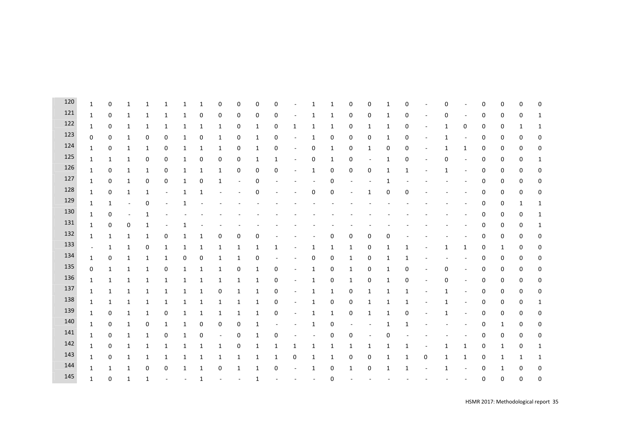| 120 | $\mathbf{1}$             | $\mathbf 0$  | 1            | $\mathbf{1}$ | 1                | 1 | 1            | 0                | $\mathbf 0$              | 0 | 0 |                          | 1           | 1            | 0                | 0      | 1            | 0            |   | 0           |                          | 0 | 0            | 0           | 0            |
|-----|--------------------------|--------------|--------------|--------------|------------------|---|--------------|------------------|--------------------------|---|---|--------------------------|-------------|--------------|------------------|--------|--------------|--------------|---|-------------|--------------------------|---|--------------|-------------|--------------|
| 121 | $\mathbf{1}$             | 0            | 1            | 1            | 1                | 1 | 0            | $\boldsymbol{0}$ | 0                        | 0 | 0 |                          | 1           | 1            | $\boldsymbol{0}$ | 0      | 1            | 0            |   | 0           |                          | 0 | 0            | 0           | $\mathbf{1}$ |
| 122 | $\mathbf{1}$             | 0            | 1            | 1            | 1                | 1 | 1            | 1                | 0                        | 1 | 0 | 1                        | 1           | 1            | $\boldsymbol{0}$ | 1      | 1            | 0            |   | 1           | 0                        | 0 | 0            | 1           | 1            |
| 123 | 0                        | 0            | 1            | 0            | 0                | 1 | 0            | $\mathbf{1}$     | 0                        | 1 | 0 | $\overline{\phantom{a}}$ | 1           | 0            | $\boldsymbol{0}$ | 0      | 1            | 0            |   | 1           |                          | 0 | 0            | 0           | 0            |
| 124 | $\mathbf{1}$             | 0            | 1            | $\mathbf{1}$ | $\mathbf 0$      | 1 | 1            | $\mathbf{1}$     | 0                        | 1 | 0 |                          | 0           | $\mathbf{1}$ | $\pmb{0}$        | 1      | 0            | 0            |   | 1           | $\mathbf{1}$             | 0 | $\pmb{0}$    | 0           | 0            |
| 125 | $\mathbf{1}$             | $\mathbf{1}$ | 1            | 0            | $\pmb{0}$        | 1 | 0            | 0                | 0                        | 1 | 1 |                          | 0           | 1            | $\pmb{0}$        | $\sim$ | 1            | 0            |   | $\mathbf 0$ | $\overline{\phantom{a}}$ | 0 | $\pmb{0}$    | 0           | $\mathbf{1}$ |
| 126 | $\mathbf{1}$             | 0            | 1            | 1            | 0                | 1 | 1            | 1                | 0                        | 0 | 0 |                          | 1           | 0            | 0                | 0      | 1            | $\mathbf{1}$ |   | 1           |                          | 0 | 0            | 0           | 0            |
| 127 | $\mathbf{1}$             | 0            | 1            | 0            | 0                | 1 | 0            | 1                | $\overline{\phantom{a}}$ | 0 |   |                          |             | 0            |                  |        | 1            |              |   |             |                          | 0 | 0            | 0           | 0            |
| 128 | $\mathbf{1}$             | 0            | 1            | 1            |                  | 1 | 1            |                  |                          | 0 |   |                          | 0           | 0            |                  | 1      | 0            | 0            |   |             |                          | 0 | 0            | 0           | 0            |
| 129 | $\mathbf{1}$             | $\mathbf{1}$ |              | $\mathbf 0$  |                  |   |              |                  |                          |   |   |                          |             |              |                  |        |              |              |   |             |                          | 0 | 0            | 1           | $\mathbf{1}$ |
| 130 | $\mathbf{1}$             | 0            | ٠            | 1            |                  |   |              |                  |                          |   |   |                          |             |              |                  |        |              |              |   |             |                          | 0 | 0            | 0           | $\mathbf{1}$ |
| 131 | $\mathbf{1}$             | $\mathbf 0$  | 0            | $\mathbf{1}$ |                  | 1 |              |                  |                          |   |   |                          |             |              |                  |        |              |              |   |             |                          | 0 | $\pmb{0}$    | 0           | 1            |
| 132 | $\mathbf{1}$             | 1            | 1            | $\mathbf{1}$ | $\pmb{0}$        | 1 | $\mathbf{1}$ | 0                | 0                        | 0 |   |                          |             | 0            | $\pmb{0}$        | 0      | U            |              |   |             |                          | 0 | $\pmb{0}$    | 0           | 0            |
| 133 | $\overline{\phantom{a}}$ | 1            | 1            | 0            | $\mathbf{1}$     | 1 | 1            | 1                | 1                        | 1 | 1 |                          | 1           | 1            | 1                | 0      |              | 1            |   | 1           | 1                        | 0 | 1            | 0           | 0            |
| 134 | $\mathbf{1}$             | 0            | 1            | 1            | 1                | 0 | 0            | 1                | 1                        | 0 |   |                          | 0           | 0            | 1                | 0      | 1            | 1            |   |             |                          | 0 | 0            | 0           | 0            |
| 135 | $\pmb{0}$                | $\mathbf{1}$ | 1            | 1            | $\boldsymbol{0}$ | 1 | 1            | 1                | 0                        | 1 | 0 |                          | 1           | 0            | 1                | 0      | 1            | 0            |   | 0           |                          | 0 | 0            | 0           | 0            |
| 136 | $\mathbf{1}$             | $\mathbf{1}$ | 1            | 1            | 1                | 1 | 1            | 1                | $\mathbf{1}$             | 1 | 0 |                          | 1           | 0            | 1                | 0      | $\mathbf{1}$ | 0            |   | 0           |                          | 0 | 0            | 0           | 0            |
| 137 | $\mathbf{1}$             | 1            | 1            | 1            | 1                | 1 | 1            | 0                | $\mathbf{1}$             | 1 | 0 |                          | 1           | 1            | 0                | 1      | 1            | 1            |   | 1           |                          | 0 | 0            | 0           | 0            |
| 138 | $\mathbf{1}$             | $\mathbf{1}$ | 1            | $\mathbf{1}$ | $\mathbf{1}$     | 1 | 1            | $\mathbf{1}$     | $\mathbf{1}$             | 1 | 0 |                          | $\mathbf 1$ | $\mathbf 0$  | $\pmb{0}$        | 1      | 1            | 1            |   | 1           |                          | 0 | $\pmb{0}$    | 0           | $\mathbf{1}$ |
| 139 | $\mathbf{1}$             | 0            | 1            | $\mathbf{1}$ | 0                | 1 | $\mathbf{1}$ | $\mathbf{1}$     | $\mathbf{1}$             | 1 | 0 |                          | $\mathbf 1$ | $\mathbf{1}$ | $\pmb{0}$        | 1      | 1            | 0            |   | 1           | $\overline{\phantom{a}}$ | 0 | $\pmb{0}$    | 0           | 0            |
| 140 | 1                        | 0            | 1            | 0            | $\mathbf{1}$     | 1 | 0            | 0                | 0                        | 1 |   |                          | 1           | 0            |                  |        | 1            | 1            |   |             |                          | 0 | 1            | 0           | 0            |
| 141 | $\mathbf{1}$             | 0            | 1            | 1            | 0                | 1 | 0            | ÷,               | 0                        | 1 | 0 |                          |             | 0            | 0                |        |              |              |   |             |                          | 0 | 0            | 0           | 0            |
| 142 | $\mathbf{1}$             | 0            | 1            | 1            | $\mathbf{1}$     | 1 | 1            | $\mathbf{1}$     | 0                        | 1 | 1 | 1                        | 1           | 1            | $\mathbf{1}$     | 1      | 1            | 1            |   | 1           | 1                        | 0 | $\mathbf{1}$ | 0           | $\mathbf{1}$ |
| 143 | $\mathbf{1}$             | 0            | 1            | 1            | 1                | 1 | 1            | 1                | 1                        | 1 | 1 | $\boldsymbol{0}$         | 1           | 1            | 0                | 0      | 1            | 1            | 0 | 1           | 1                        | 0 | 1            | 1           | $\mathbf{1}$ |
| 144 | $\mathbf{1}$             | 1            | 1            | 0            | 0                | 1 | 1            | 0                | $\mathbf{1}$             | 1 | 0 | $\sim$                   | 1           | 0            | 1                | 0      | 1            | $\mathbf{1}$ |   | 1           |                          | 0 | 1            | 0           | 0            |
| 145 | $\mathbf{1}$             | $\mathbf 0$  | $\mathbf{1}$ | $\mathbf{1}$ |                  | ÷ | 1            |                  |                          | 1 |   |                          |             | $\mathbf 0$  |                  |        |              |              |   |             |                          | 0 | $\mathbf 0$  | $\mathbf 0$ | 0            |
|     |                          |              |              |              |                  |   |              |                  |                          |   |   |                          |             |              |                  |        |              |              |   |             |                          |   |              |             |              |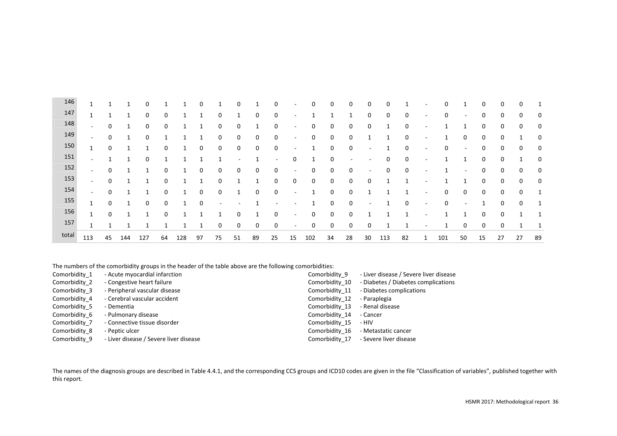| 146   | $\mathbf{A}$             | и           |     | 0   |          |     | 0            |                          | 0  |    | 0                        | $\overline{\phantom{a}}$ | 0                   | 0           | $\Omega$ | 0                        | 0   |              | $\overline{\phantom{a}}$ | 0   | $\overline{\phantom{a}}$ | 0  | 0           | $\Omega$ |    |
|-------|--------------------------|-------------|-----|-----|----------|-----|--------------|--------------------------|----|----|--------------------------|--------------------------|---------------------|-------------|----------|--------------------------|-----|--------------|--------------------------|-----|--------------------------|----|-------------|----------|----|
| 147   | $\overline{ }$<br>ᆂ      | 1           |     | 0   | 0        |     | 1            | 0                        |    | 0  | 0                        | $\overline{\phantom{a}}$ |                     |             |          | 0                        | 0   | 0            | $\overline{\phantom{a}}$ | 0   | $\overline{\phantom{a}}$ | 0  | 0           | 0        | 0  |
| 148   | $\sim$                   | $\mathbf 0$ | 1   | 0   | 0        |     | 1            | 0                        | 0  | 1  | 0                        | $\overline{\phantom{a}}$ | 0                   | 0           | 0        | 0                        |     | 0            | $\overline{\phantom{a}}$ |     | 1                        | 0  | 0           | 0        | 0  |
| 149   | $\sim$                   | 0           |     | 0   |          |     |              | 0                        | 0  | 0  | 0                        | $\overline{\phantom{a}}$ | 0                   | $\mathbf 0$ | $\Omega$ |                          |     | $\mathbf 0$  | $\overline{\phantom{a}}$ |     | $\mathbf 0$              | 0  | $\mathbf 0$ |          | 0  |
| 150   | 1                        | 0           |     | 1   | 0        |     | 0            | 0                        | 0  | 0  | 0                        | $\overline{\phantom{a}}$ |                     | 0           | 0        |                          |     | 0            | $\overline{\phantom{a}}$ | 0   | $\overline{\phantom{a}}$ | 0  | 0           | 0        | 0  |
| 151   | $\overline{\phantom{a}}$ | ٠           | 1   | 0   |          |     |              |                          |    |    |                          | 0                        | $\overline{ }$<br>Ŧ | 0           |          |                          | 0   | 0            | $\overline{\phantom{0}}$ |     | 1                        | 0  | 0           |          | 0  |
| 152   | $\overline{\phantom{a}}$ | 0           | 1   | 1   | $\Omega$ |     | 0            | 0                        | 0  | 0  | 0                        | $\overline{\phantom{a}}$ | 0                   | $\mathbf 0$ | 0        |                          | 0   | 0            | $\overline{\phantom{a}}$ |     | $\overline{\phantom{a}}$ | 0  | 0           | 0        | 0  |
| 153   | $\overline{\phantom{a}}$ | 0           |     | 1   | $\Omega$ |     | $\mathbf{A}$ | 0                        |    |    | 0                        | 0                        | 0                   | 0           | 0        | 0                        |     | $\mathbf{A}$ | $\overline{\phantom{a}}$ |     | 1                        | 0  | 0           | 0        | 0  |
| 154   | $\overline{\phantom{a}}$ | 0           |     | -1  | 0        |     | 0            | 0                        |    | 0  | $\mathbf 0$              | $\overline{\phantom{a}}$ |                     | 0           | 0        |                          |     | 1            | $\overline{\phantom{a}}$ | 0   | 0                        | 0  | 0           | 0        |    |
| 155   | $\overline{ }$           | 0           | 1   | 0   | $\Omega$ |     | 0            | $\overline{\phantom{a}}$ |    |    | $\overline{\phantom{a}}$ | $\overline{\phantom{a}}$ | 1                   | 0           | 0        | $\overline{\phantom{a}}$ |     | 0            | $\overline{\phantom{a}}$ | 0   | ۰                        | 1  | 0           | $\Omega$ | 1  |
| 156   | $\overline{ }$           | 0           |     | 1   | $\Omega$ |     | 1            |                          | 0  | 1  | 0                        | $\sim$                   | 0                   | $\mathbf 0$ | $\Omega$ |                          |     | 1            | $\overline{\phantom{a}}$ |     | 1                        | 0  | $\mathbf 0$ |          | 1  |
| 157   |                          | ٠           |     |     |          |     | ٠            | 0                        | 0  | 0  | 0                        | $\overline{\phantom{a}}$ | 0                   | $\mathbf 0$ | 0        | 0                        |     |              | $\overline{\phantom{a}}$ |     | 0                        | 0  | 0           |          |    |
| total | 113                      | 45          | 144 | 127 | 64       | 128 | 97           | 75                       | 51 | 89 | 25                       | 15                       | 102                 | 34          | 28       | 30                       | 113 | 82           | $\mathbf{1}$             | 101 | 50                       | 15 | 27          | 27       | 89 |

The numbers of the comorbidity groups in the header of the table above are the following comorbidities:

| Comorbidity 1 | - Acute myocardial infarction          | Comorbidity 9  | - Liver disease / Severe liver disease |
|---------------|----------------------------------------|----------------|----------------------------------------|
| Comorbidity 2 | - Congestive heart failure             | Comorbidity 10 | - Diabetes / Diabetes complications    |
| Comorbidity 3 | - Peripheral vascular disease          | Comorbidity 11 | - Diabetes complications               |
| Comorbidity 4 | - Cerebral vascular accident           | Comorbidity 12 | - Paraplegia                           |
| Comorbidity 5 | - Dementia                             | Comorbidity 13 | - Renal disease                        |
| Comorbidity 6 | - Pulmonary disease                    | Comorbidity 14 | - Cancer                               |
| Comorbidity 7 | - Connective tissue disorder           | Comorbidity 15 | - HIV                                  |
| Comorbidity 8 | - Peptic ulcer                         | Comorbidity 16 | - Metastatic cancer                    |
| Comorbidity 9 | - Liver disease / Severe liver disease |                | Comorbidity 17 - Severe liver disease  |

The names of the diagnosis groups are described in Table 4.4.1, and the corresponding CCS groups and ICD10 codes are given in the file "Classification of variables", published together with this report.